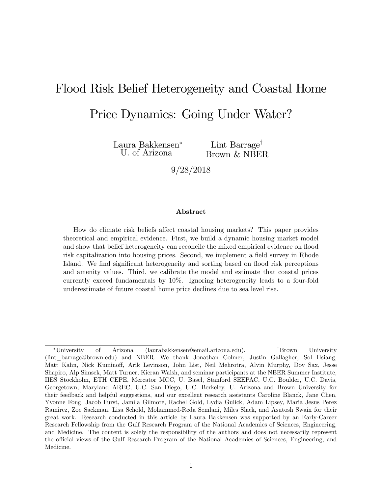# Flood Risk Belief Heterogeneity and Coastal Home

# Price Dynamics: Going Under Water?

Laura Bakkensen U. of Arizona

Lint Barrage<sup>†</sup> Brown & NBER

9/28/2018

#### Abstract

How do climate risk beliefs affect coastal housing markets? This paper provides theoretical and empirical evidence. First, we build a dynamic housing market model and show that belief heterogeneity can reconcile the mixed empirical evidence on flood risk capitalization into housing prices. Second, we implement a field survey in Rhode Island. We find significant heterogeneity and sorting based on flood risk perceptions and amenity values. Third, we calibrate the model and estimate that coastal prices currently exceed fundamentals by 10%. Ignoring heterogeneity leads to a four-fold underestimate of future coastal home price declines due to sea level rise.

<sup>\*</sup>University of Arizona (laurabakkensen@email.arizona.edu). <sup>†</sup>Brown University (lint\_barrage@brown.edu) and NBER. We thank Jonathan Colmer, Justin Gallagher, Sol Hsiang, Matt Kahn, Nick Kuminoff, Arik Levinson, John List, Neil Mehrotra, Alvin Murphy, Dov Sax, Jesse Shapiro, Alp Simsek, Matt Turner, Kieran Walsh, and seminar participants at the NBER Summer Institute, IIES Stockholm, ETH CEPE, Mercator MCC, U. Basel, Stanford SEEPAC, U.C. Boulder, U.C. Davis, Georgetown, Maryland AREC, U.C. San Diego, U.C. Berkeley, U. Arizona and Brown University for their feedback and helpful suggestions, and our excellent research assistants Caroline Blanck, Jane Chen, Yvonne Fong, Jacob Furst, Jamila Gilmore, Rachel Gold, Lydia Gulick, Adam Lipsey, Maria Jesus Perez Ramirez, Zoe Sackman, Lisa Schold, Mohammed-Reda Semlani, Miles Slack, and Asutosh Swain for their great work. Research conducted in this article by Laura Bakkensen was supported by an Early-Career Research Fellowship from the Gulf Research Program of the National Academies of Sciences, Engineering, and Medicine. The content is solely the responsibility of the authors and does not necessarily represent the official views of the Gulf Research Program of the National Academies of Sciences, Engineering, and Medicine.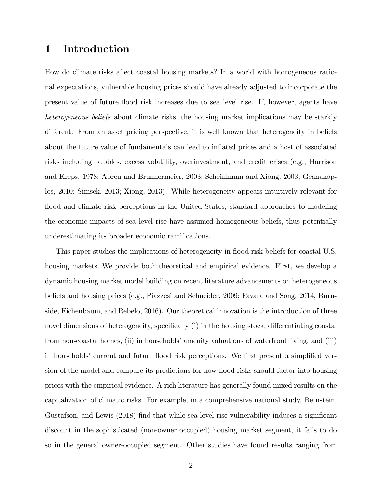## 1 Introduction

How do climate risks affect coastal housing markets? In a world with homogeneous rational expectations, vulnerable housing prices should have already adjusted to incorporate the present value of future áood risk increases due to sea level rise. If, however, agents have heterogeneous beliefs about climate risks, the housing market implications may be starkly different. From an asset pricing perspective, it is well known that heterogeneity in beliefs about the future value of fundamentals can lead to ináated prices and a host of associated risks including bubbles, excess volatility, overinvestment, and credit crises (e.g., Harrison and Kreps, 1978; Abreu and Brunnermeier, 2003; Scheinkman and Xiong, 2003; Geanakoplos, 2010; Simsek, 2013; Xiong, 2013). While heterogeneity appears intuitively relevant for flood and climate risk perceptions in the United States, standard approaches to modeling the economic impacts of sea level rise have assumed homogeneous beliefs, thus potentially underestimating its broader economic ramifications.

This paper studies the implications of heterogeneity in flood risk beliefs for coastal U.S. housing markets. We provide both theoretical and empirical evidence. First, we develop a dynamic housing market model building on recent literature advancements on heterogeneous beliefs and housing prices (e.g., Piazzesi and Schneider, 2009; Favara and Song, 2014, Burnside, Eichenbaum, and Rebelo, 2016). Our theoretical innovation is the introduction of three novel dimensions of heterogeneity, specifically (i) in the housing stock, differentiating coastal from non-coastal homes, (ii) in households' amenity valuations of waterfront living, and (iii) in households' current and future flood risk perceptions. We first present a simplified version of the model and compare its predictions for how flood risks should factor into housing prices with the empirical evidence. A rich literature has generally found mixed results on the capitalization of climatic risks. For example, in a comprehensive national study, Bernstein, Gustafson, and Lewis (2018) find that while sea level rise vulnerability induces a significant discount in the sophisticated (non-owner occupied) housing market segment, it fails to do so in the general owner-occupied segment. Other studies have found results ranging from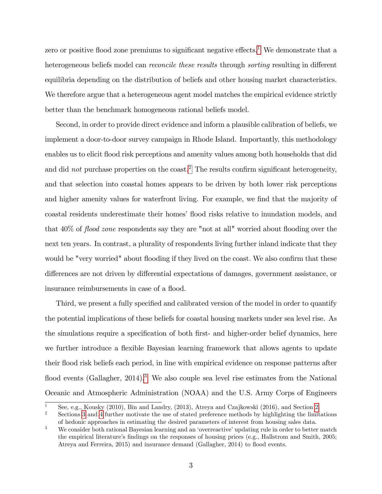zero or positive flood zone premiums to significant negative effects.<sup>[1](#page-2-0)</sup> We demonstrate that a heterogeneous beliefs model can *reconcile these results* through *sorting* resulting in different equilibria depending on the distribution of beliefs and other housing market characteristics. We therefore argue that a heterogeneous agent model matches the empirical evidence strictly better than the benchmark homogeneous rational beliefs model.

Second, in order to provide direct evidence and inform a plausible calibration of beliefs, we implement a door-to-door survey campaign in Rhode Island. Importantly, this methodology enables us to elicit flood risk perceptions and amenity values among both households that did and did not purchase properties on the coast.<sup>[2](#page-2-1)</sup> The results confirm significant heterogeneity, and that selection into coastal homes appears to be driven by both lower risk perceptions and higher amenity values for waterfront living. For example, we find that the majority of coastal residents underestimate their homes' flood risks relative to inundation models, and that  $40\%$  of *flood zone* respondents say they are "not at all" worried about flooding over the next ten years. In contrast, a plurality of respondents living further inland indicate that they would be "very worried" about flooding if they lived on the coast. We also confirm that these differences are not driven by differential expectations of damages, government assistance, or insurance reimbursements in case of a flood.

Third, we present a fully specified and calibrated version of the model in order to quantify the potential implications of these beliefs for coastal housing markets under sea level rise. As the simulations require a specification of both first- and higher-order belief dynamics, here we further introduce a flexible Bayesian learning framework that allows agents to update their áood risk beliefs each period, in line with empirical evidence on response patterns after flood events (Gallagher,  $2014$ ).<sup>[3](#page-2-2)</sup> We also couple sea level rise estimates from the National Oceanic and Atmospheric Administration (NOAA) and the U.S. Army Corps of Engineers

<span id="page-2-0"></span><sup>&</sup>lt;sup>1</sup> See, e.g., Kousky ([2](#page-4-0)010), Bin and Landry, (2013), Atreya and Czajkowski (2016), and Section 2.<br><sup>2</sup> Sections <sup>2</sup> and 4 further metivate the use of stated preference methods by highlighting the limit

<span id="page-2-1"></span><sup>2</sup> Sections [3](#page-10-0) and [4](#page-18-0) further motivate the use of stated preference methods by highlighting the limitations of hedonic approaches in estimating the desired parameters of interest from housing sales data.

<span id="page-2-2"></span> $3$  We consider both rational Bayesian learning and an 'overreactive' updating rule in order to better match the empirical literature's findings on the responses of housing prices (e.g., Hallstrom and Smith,  $2005$ ; Atreya and Ferreira,  $2015$ ) and insurance demand (Gallagher,  $2014$ ) to flood events.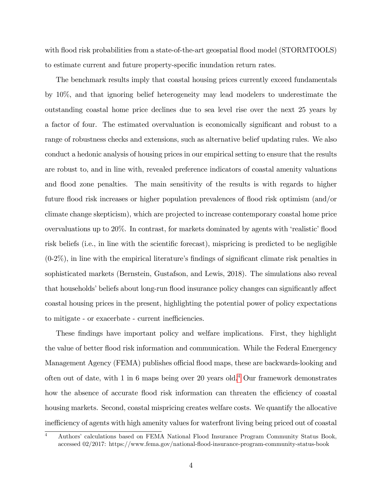with flood risk probabilities from a state-of-the-art geospatial flood model (STORMTOOLS) to estimate current and future property-specific inundation return rates.

The benchmark results imply that coastal housing prices currently exceed fundamentals by 10%, and that ignoring belief heterogeneity may lead modelers to underestimate the outstanding coastal home price declines due to sea level rise over the next 25 years by a factor of four. The estimated overvaluation is economically significant and robust to a range of robustness checks and extensions, such as alternative belief updating rules. We also conduct a hedonic analysis of housing prices in our empirical setting to ensure that the results are robust to, and in line with, revealed preference indicators of coastal amenity valuations and flood zone penalties. The main sensitivity of the results is with regards to higher future áood risk increases or higher population prevalences of áood risk optimism (and/or climate change skepticism), which are projected to increase contemporary coastal home price overvaluations up to 20%. In contrast, for markets dominated by agents with 'realistic' flood risk beliefs (i.e., in line with the scientific forecast), mispricing is predicted to be negligible  $(0-2\%)$ , in line with the empirical literature's findings of significant climate risk penalties in sophisticated markets (Bernstein, Gustafson, and Lewis, 2018). The simulations also reveal that households<sup>*'*</sup> beliefs about long-run flood insurance policy changes can significantly affect coastal housing prices in the present, highlighting the potential power of policy expectations to mitigate - or exacerbate - current inefficiencies.

These findings have important policy and welfare implications. First, they highlight the value of better áood risk information and communication. While the Federal Emergency Management Agency (FEMA) publishes official flood maps, these are backwards-looking and often out of date, with 1 in 6 maps being over 20 years old.[4](#page-3-0) Our framework demonstrates how the absence of accurate flood risk information can threaten the efficiency of coastal housing markets. Second, coastal mispricing creates welfare costs. We quantify the allocative inefficiency of agents with high amenity values for waterfront living being priced out of coastal

<span id="page-3-0"></span><sup>&</sup>lt;sup>4</sup> Authors' calculations based on FEMA National Flood Insurance Program Community Status Book, accessed 02/2017: https://www.fema.gov/national-áood-insurance-program-community-status-book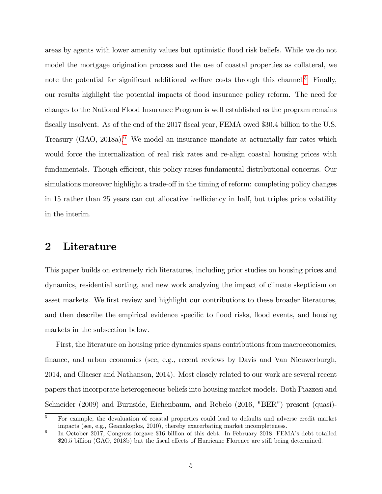areas by agents with lower amenity values but optimistic áood risk beliefs. While we do not model the mortgage origination process and the use of coastal properties as collateral, we note the potential for significant additional welfare costs through this channel.<sup>[5](#page-4-1)</sup> Finally, our results highlight the potential impacts of flood insurance policy reform. The need for changes to the National Flood Insurance Program is well established as the program remains fiscally insolvent. As of the end of the 2017 fiscal year, FEMA owed \$30.4 billion to the U.S. Treasury  $(GAO, 2018a)$ .<sup>[6](#page-4-2)</sup> We model an insurance mandate at actuarially fair rates which would force the internalization of real risk rates and re-align coastal housing prices with fundamentals. Though efficient, this policy raises fundamental distributional concerns. Our simulations moreover highlight a trade-off in the timing of reform: completing policy changes in 15 rather than 25 years can cut allocative inefficiency in half, but triples price volatility in the interim.

## <span id="page-4-0"></span>2 Literature

This paper builds on extremely rich literatures, including prior studies on housing prices and dynamics, residential sorting, and new work analyzing the impact of climate skepticism on asset markets. We first review and highlight our contributions to these broader literatures, and then describe the empirical evidence specific to flood risks, flood events, and housing markets in the subsection below.

First, the literature on housing price dynamics spans contributions from macroeconomics, Önance, and urban economics (see, e.g., recent reviews by Davis and Van Nieuwerburgh, 2014, and Glaeser and Nathanson, 2014). Most closely related to our work are several recent papers that incorporate heterogeneous beliefs into housing market models. Both Piazzesi and Schneider (2009) and Burnside, Eichenbaum, and Rebelo (2016, "BER") present (quasi)-

<span id="page-4-1"></span><sup>&</sup>lt;sup>5</sup> For example, the devaluation of coastal properties could lead to defaults and adverse credit market impacts (see, e.g., Geanakoplos, 2010), thereby exacerbating market incompleteness.

<span id="page-4-2"></span><sup>6</sup> In October 2017, Congress forgave \$16 billion of this debt. In February 2018, FEMA's debt totalled \$20.5 billion (GAO, 2018b) but the fiscal effects of Hurricane Florence are still being determined.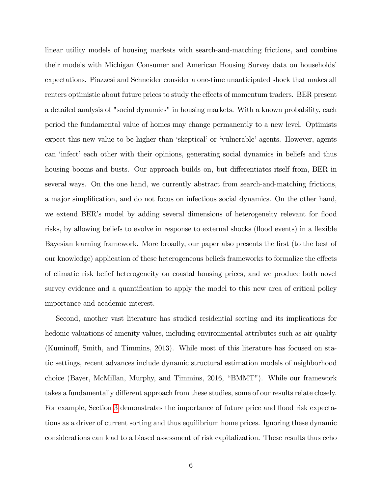linear utility models of housing markets with search-and-matching frictions, and combine their models with Michigan Consumer and American Housing Survey data on households<sup>'</sup> expectations. Piazzesi and Schneider consider a one-time unanticipated shock that makes all renters optimistic about future prices to study the effects of momentum traders. BER present a detailed analysis of "social dynamics" in housing markets. With a known probability, each period the fundamental value of homes may change permanently to a new level. Optimists expect this new value to be higher than 'skeptical' or 'vulnerable' agents. However, agents can 'infect' each other with their opinions, generating social dynamics in beliefs and thus housing booms and busts. Our approach builds on, but differentiates itself from, BER in several ways. On the one hand, we currently abstract from search-and-matching frictions, a major simplification, and do not focus on infectious social dynamics. On the other hand, we extend BER's model by adding several dimensions of heterogeneity relevant for flood risks, by allowing beliefs to evolve in response to external shocks (flood events) in a flexible Bayesian learning framework. More broadly, our paper also presents the first (to the best of our knowledge) application of these heterogeneous beliefs frameworks to formalize the effects of climatic risk belief heterogeneity on coastal housing prices, and we produce both novel survey evidence and a quantification to apply the model to this new area of critical policy importance and academic interest.

Second, another vast literature has studied residential sorting and its implications for hedonic valuations of amenity values, including environmental attributes such as air quality (Kumino§, Smith, and Timmins, 2013). While most of this literature has focused on static settings, recent advances include dynamic structural estimation models of neighborhood choice (Bayer, McMillan, Murphy, and Timmins, 2016, "BMMT"). While our framework takes a fundamentally different approach from these studies, some of our results relate closely. For example, Section [3](#page-10-0) demonstrates the importance of future price and flood risk expectations as a driver of current sorting and thus equilibrium home prices. Ignoring these dynamic considerations can lead to a biased assessment of risk capitalization. These results thus echo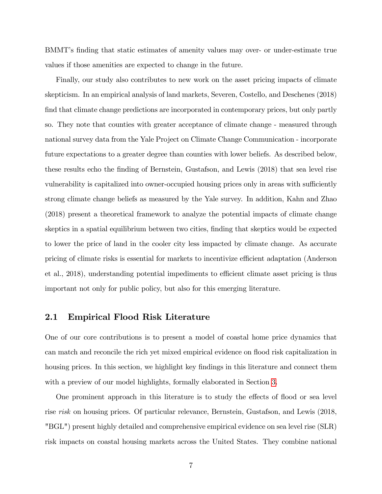BMMT's finding that static estimates of amenity values may over- or under-estimate true values if those amenities are expected to change in the future.

Finally, our study also contributes to new work on the asset pricing impacts of climate skepticism. In an empirical analysis of land markets, Severen, Costello, and Deschenes (2018) find that climate change predictions are incorporated in contemporary prices, but only partly so. They note that counties with greater acceptance of climate change - measured through national survey data from the Yale Project on Climate Change Communication - incorporate future expectations to a greater degree than counties with lower beliefs. As described below, these results echo the Önding of Bernstein, Gustafson, and Lewis (2018) that sea level rise vulnerability is capitalized into owner-occupied housing prices only in areas with sufficiently strong climate change beliefs as measured by the Yale survey. In addition, Kahn and Zhao (2018) present a theoretical framework to analyze the potential impacts of climate change skeptics in a spatial equilibrium between two cities, finding that skeptics would be expected to lower the price of land in the cooler city less impacted by climate change. As accurate pricing of climate risks is essential for markets to incentivize efficient adaptation (Anderson et al., 2018), understanding potential impediments to efficient climate asset pricing is thus important not only for public policy, but also for this emerging literature.

### 2.1 Empirical Flood Risk Literature

One of our core contributions is to present a model of coastal home price dynamics that can match and reconcile the rich yet mixed empirical evidence on flood risk capitalization in housing prices. In this section, we highlight key findings in this literature and connect them with a preview of our model highlights, formally elaborated in Section [3](#page-10-0).

One prominent approach in this literature is to study the effects of flood or sea level rise risk on housing prices. Of particular relevance, Bernstein, Gustafson, and Lewis (2018, "BGL") present highly detailed and comprehensive empirical evidence on sea level rise (SLR) risk impacts on coastal housing markets across the United States. They combine national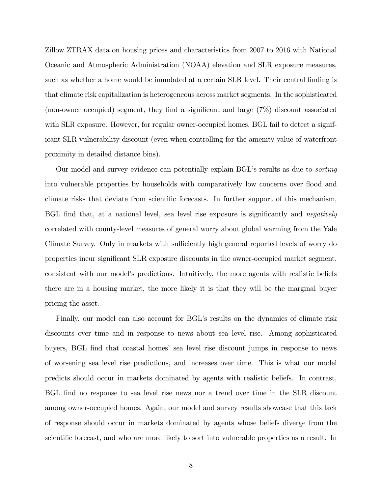Zillow ZTRAX data on housing prices and characteristics from 2007 to 2016 with National Oceanic and Atmospheric Administration (NOAA) elevation and SLR exposure measures, such as whether a home would be inundated at a certain SLR level. Their central finding is that climate risk capitalization is heterogeneous across market segments. In the sophisticated (non-owner occupied) segment, they find a significant and large  $(7\%)$  discount associated with SLR exposure. However, for regular owner-occupied homes, BGL fail to detect a significant SLR vulnerability discount (even when controlling for the amenity value of waterfront proximity in detailed distance bins).

Our model and survey evidence can potentially explain BGL's results as due to *sorting* into vulnerable properties by households with comparatively low concerns over áood and climate risks that deviate from scientific forecasts. In further support of this mechanism, BGL find that, at a national level, sea level rise exposure is significantly and *negatively* correlated with county-level measures of general worry about global warming from the Yale Climate Survey. Only in markets with sufficiently high general reported levels of worry do properties incur significant SLR exposure discounts in the owner-occupied market segment, consistent with our modelís predictions. Intuitively, the more agents with realistic beliefs there are in a housing market, the more likely it is that they will be the marginal buyer pricing the asset.

Finally, our model can also account for BGL's results on the dynamics of climate risk discounts over time and in response to news about sea level rise. Among sophisticated buyers, BGL Önd that coastal homesí sea level rise discount jumps in response to news of worsening sea level rise predictions, and increases over time. This is what our model predicts should occur in markets dominated by agents with realistic beliefs. In contrast, BGL Önd no response to sea level rise news nor a trend over time in the SLR discount among owner-occupied homes. Again, our model and survey results showcase that this lack of response should occur in markets dominated by agents whose beliefs diverge from the scientific forecast, and who are more likely to sort into vulnerable properties as a result. In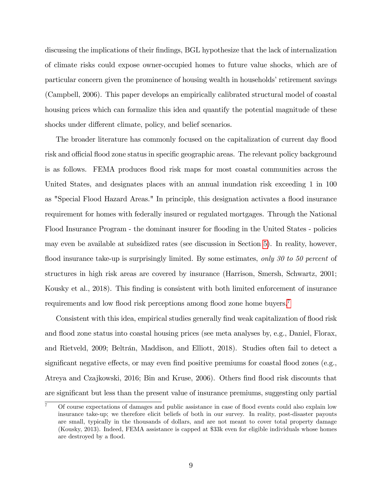discussing the implications of their findings, BGL hypothesize that the lack of internalization of climate risks could expose owner-occupied homes to future value shocks, which are of particular concern given the prominence of housing wealth in households' retirement savings (Campbell, 2006). This paper develops an empirically calibrated structural model of coastal housing prices which can formalize this idea and quantify the potential magnitude of these shocks under different climate, policy, and belief scenarios.

The broader literature has commonly focused on the capitalization of current day flood risk and official flood zone status in specific geographic areas. The relevant policy background is as follows. FEMA produces flood risk maps for most coastal communities across the United States, and designates places with an annual inundation risk exceeding 1 in 100 as "Special Flood Hazard Areas." In principle, this designation activates a flood insurance requirement for homes with federally insured or regulated mortgages. Through the National Flood Insurance Program - the dominant insurer for flooding in the United States - policies may even be available at subsidized rates (see discussion in Section [5](#page-27-0)). In reality, however, flood insurance take-up is surprisingly limited. By some estimates, only 30 to 50 percent of structures in high risk areas are covered by insurance (Harrison, Smersh, Schwartz, 2001; Kousky et al., 2018). This finding is consistent with both limited enforcement of insurance requirements and low flood risk perceptions among flood zone home buyers.<sup>[7](#page-8-0)</sup>

Consistent with this idea, empirical studies generally find weak capitalization of flood risk and flood zone status into coastal housing prices (see meta analyses by, e.g., Daniel, Florax, and Rietveld, 2009; Beltrán, Maddison, and Elliott, 2018). Studies often fail to detect a significant negative effects, or may even find positive premiums for coastal flood zones (e.g., Atreya and Czajkowski, 2016; Bin and Kruse, 2006). Others Önd áood risk discounts that are significant but less than the present value of insurance premiums, suggesting only partial

<span id="page-8-0"></span><sup>7</sup> Of course expectations of damages and public assistance in case of áood events could also explain low insurance take-up; we therefore elicit beliefs of both in our survey. In reality, post-disaster payouts are small, typically in the thousands of dollars, and are not meant to cover total property damage (Kousky, 2013). Indeed, FEMA assistance is capped at \$33k even for eligible individuals whose homes are destroyed by a flood.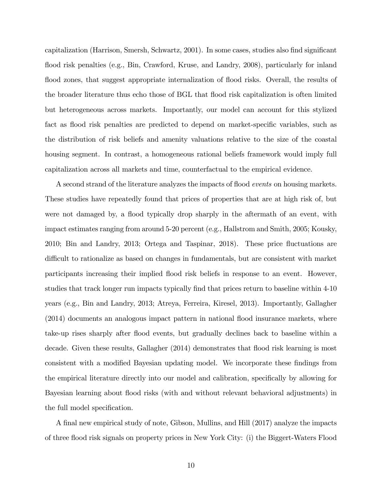capitalization (Harrison, Smersh, Schwartz, 2001). In some cases, studies also find significant flood risk penalties (e.g., Bin, Crawford, Kruse, and Landry, 2008), particularly for inland flood zones, that suggest appropriate internalization of flood risks. Overall, the results of the broader literature thus echo those of BGL that áood risk capitalization is often limited but heterogeneous across markets. Importantly, our model can account for this stylized fact as flood risk penalties are predicted to depend on market-specific variables, such as the distribution of risk beliefs and amenity valuations relative to the size of the coastal housing segment. In contrast, a homogeneous rational beliefs framework would imply full capitalization across all markets and time, counterfactual to the empirical evidence.

A second strand of the literature analyzes the impacts of flood *events* on housing markets. These studies have repeatedly found that prices of properties that are at high risk of, but were not damaged by, a flood typically drop sharply in the aftermath of an event, with impact estimates ranging from around 5-20 percent (e.g., Hallstrom and Smith, 2005; Kousky, 2010; Bin and Landry, 2013; Ortega and Taspinar, 2018). These price áuctuations are difficult to rationalize as based on changes in fundamentals, but are consistent with market participants increasing their implied flood risk beliefs in response to an event. However, studies that track longer run impacts typically find that prices return to baseline within 4-10 years (e.g., Bin and Landry, 2013; Atreya, Ferreira, Kiresel, 2013). Importantly, Gallagher (2014) documents an analogous impact pattern in national áood insurance markets, where take-up rises sharply after flood events, but gradually declines back to baseline within a decade. Given these results, Gallagher (2014) demonstrates that flood risk learning is most consistent with a modified Bayesian updating model. We incorporate these findings from the empirical literature directly into our model and calibration, specifically by allowing for Bayesian learning about flood risks (with and without relevant behavioral adjustments) in the full model specification.

A final new empirical study of note, Gibson, Mullins, and Hill (2017) analyze the impacts of three áood risk signals on property prices in New York City: (i) the Biggert-Waters Flood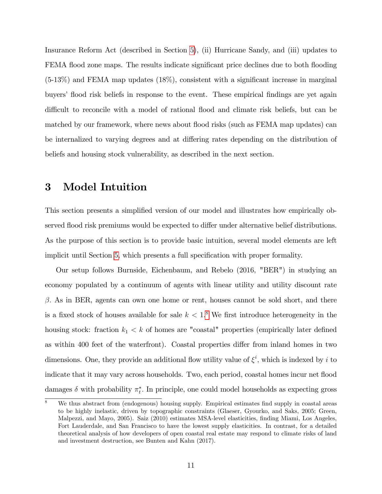Insurance Reform Act (described in Section [5](#page-27-0)), (ii) Hurricane Sandy, and (iii) updates to FEMA flood zone maps. The results indicate significant price declines due to both flooding  $(5-13\%)$  and FEMA map updates  $(18\%)$ , consistent with a significant increase in marginal buyers' flood risk beliefs in response to the event. These empirical findings are yet again difficult to reconcile with a model of rational flood and climate risk beliefs, but can be matched by our framework, where news about flood risks (such as FEMA map updates) can be internalized to varying degrees and at differing rates depending on the distribution of beliefs and housing stock vulnerability, as described in the next section.

## <span id="page-10-0"></span>3 Model Intuition

This section presents a simplified version of our model and illustrates how empirically observed flood risk premiums would be expected to differ under alternative belief distributions. As the purpose of this section is to provide basic intuition, several model elements are left implicit until Section [5](#page-27-0), which presents a full specification with proper formality.

Our setup follows Burnside, Eichenbaum, and Rebelo (2016, "BER") in studying an economy populated by a continuum of agents with linear utility and utility discount rate  $\beta$ . As in BER, agents can own one home or rent, houses cannot be sold short, and there is a fixed stock of houses available for sale  $k < 1$ .<sup>[8](#page-10-1)</sup> We first introduce heterogeneity in the housing stock: fraction  $k_1 < k$  of homes are "coastal" properties (empirically later defined as within 400 feet of the waterfront). Coastal properties differ from inland homes in two dimensions. One, they provide an additional flow utility value of  $\xi^i$ , which is indexed by i to indicate that it may vary across households. Two, each period, coastal homes incur net flood damages  $\delta$  with probability  $\pi_t^*$ . In principle, one could model households as expecting gross

<span id="page-10-1"></span>We thus abstract from (endogenous) housing supply. Empirical estimates find supply in coastal areas to be highly inelastic, driven by topographic constraints (Glaeser, Gyourko, and Saks, 2005; Green, Malpezzi, and Mayo, 2005). Saiz (2010) estimates MSA-level elasticities, finding Miami, Los Angeles, Fort Lauderdale, and San Francisco to have the lowest supply elasticities. In contrast, for a detailed theoretical analysis of how developers of open coastal real estate may respond to climate risks of land and investment destruction, see Bunten and Kahn (2017).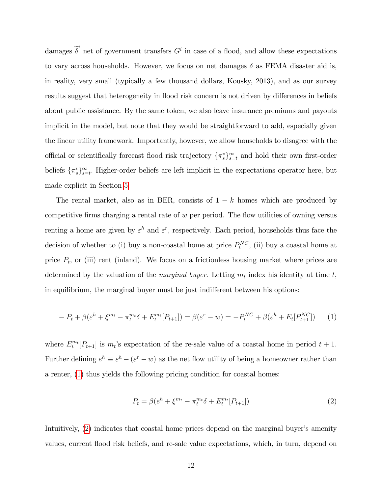damages  $\tilde{\delta}^i$  net of government transfers  $G^i$  in case of a flood, and allow these expectations to vary across households. However, we focus on net damages  $\delta$  as FEMA disaster aid is, in reality, very small (typically a few thousand dollars, Kousky, 2013), and as our survey results suggest that heterogeneity in flood risk concern is not driven by differences in beliefs about public assistance. By the same token, we also leave insurance premiums and payouts implicit in the model, but note that they would be straightforward to add, especially given the linear utility framework. Importantly, however, we allow households to disagree with the official or scientifically forecast flood risk trajectory  $\{\pi_s^*\}_{s=t}^{\infty}$  and hold their own first-order beliefs  $\{\pi_s^i\}_{s=t}^{\infty}$ . Higher-order beliefs are left implicit in the expectations operator here, but made explicit in Section [5](#page-27-0):

The rental market, also as in BER, consists of  $1 - k$  homes which are produced by competitive firms charging a rental rate of  $w$  per period. The flow utilities of owning versus renting a home are given by  $\varepsilon^h$  and  $\varepsilon^r$ , respectively. Each period, households thus face the decision of whether to (i) buy a non-coastal home at price  $P_t^{NC}$ , (ii) buy a coastal home at price  $P_t$ , or (iii) rent (inland). We focus on a frictionless housing market where prices are determined by the valuation of the *marginal buyer*. Letting  $m_t$  index his identity at time t, in equilibrium, the marginal buyer must be just indifferent between his options:

<span id="page-11-0"></span>
$$
-P_t + \beta(\varepsilon^h + \xi^{m_t} - \pi_t^{m_t}\delta + E_t^{m_t}[P_{t+1}]) = \beta(\varepsilon^r - w) = -P_t^{NC} + \beta(\varepsilon^h + E_t[P_{t+1}^{NC}])
$$
 (1)

where  $E_t^{m_t}[P_{t+1}]$  is  $m_t$ 's expectation of the re-sale value of a coastal home in period  $t+1$ . Further defining  $e^h \equiv \varepsilon^h - (\varepsilon^r - w)$  as the net flow utility of being a homeowner rather than a renter, ([1](#page-11-0)) thus yields the following pricing condition for coastal homes:

<span id="page-11-1"></span>
$$
P_t = \beta(e^h + \xi^{m_t} - \pi_t^{m_t} \delta + E_t^{m_t} [P_{t+1}])
$$
\n(2)

Intuitively,  $(2)$  $(2)$  $(2)$  indicates that coastal home prices depend on the marginal buyer's amenity values, current áood risk beliefs, and re-sale value expectations, which, in turn, depend on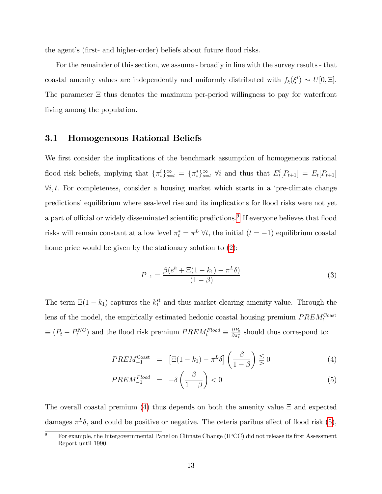the agent's (first- and higher-order) beliefs about future flood risks.

For the remainder of this section, we assume - broadly in line with the survey results - that coastal amenity values are independently and uniformly distributed with  $f_{\xi}(\xi^i) \sim U[0, \Xi]$ . The parameter  $\Xi$  thus denotes the maximum per-period willingness to pay for waterfront living among the population.

### 3.1 Homogeneous Rational Beliefs

We first consider the implications of the benchmark assumption of homogeneous rational flood risk beliefs, implying that  $\{\pi_s^i\}_{s=t}^{\infty} = \{\pi_s^*\}_{s=t}^{\infty}$   $\forall i$  and thus that  $E_t^i[P_{t+1}] = E_t[P_{t+1}]$  $\forall i, t.$  For completeness, consider a housing market which starts in a 'pre-climate change predictions' equilibrium where sea-level rise and its implications for flood risks were not yet a part of official or widely disseminated scientific predictions.<sup>[9](#page-12-0)</sup> If everyone believes that flood risks will remain constant at a low level  $\pi_t^* = \pi^L \forall t$ , the initial  $(t = -1)$  equilibrium coastal home price would be given by the stationary solution to  $(2)$  $(2)$  $(2)$ :

$$
P_{-1} = \frac{\beta(e^h + \Xi(1 - k_1) - \pi^L \delta)}{(1 - \beta)}
$$
(3)

The term  $\Xi(1 - k_1)$  captures the  $k_1^{\text{st}}$  and thus market-clearing amenity value. Through the lens of the model, the empirically estimated hedonic coastal housing premium  $PREM_t^{\text{Coast}}$  $\equiv (P_t - P_t^{NC})$  and the flood risk premium  $PREM_t^{Flood} \equiv \frac{\partial P_t}{\partial \pi_t^*}$  $\frac{\partial P_t}{\partial \pi_t^*}$  should thus correspond to:

$$
PREM_{-1}^{\text{Coast}} = \left[\Xi(1 - k_1) - \pi^L \delta\right] \left(\frac{\beta}{1 - \beta}\right) \lesssim 0 \tag{4}
$$

<span id="page-12-1"></span>
$$
PREM_{-1}^{Flood} = -\delta \left(\frac{\beta}{1-\beta}\right) < 0\tag{5}
$$

The overall coastal premium ([4](#page-12-1)) thus depends on both the amenity value  $\Xi$  and expected damages  $\pi^L \delta$ , and could be positive or negative. The ceteris paribus effect of flood risk ([5](#page-12-1)),

<span id="page-12-0"></span> $9^9$  For example, the Intergovernmental Panel on Climate Change (IPCC) did not release its first Assessment Report until 1990.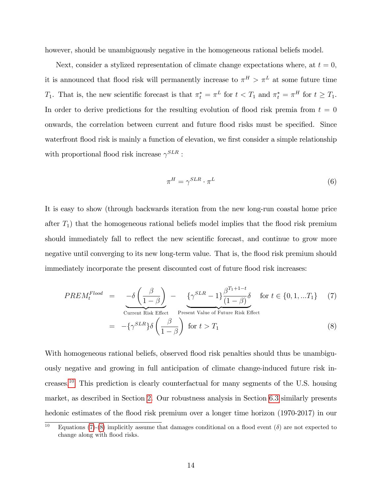however, should be unambiguously negative in the homogeneous rational beliefs model.

Next, consider a stylized representation of climate change expectations where, at  $t = 0$ , it is announced that flood risk will permanently increase to  $\pi^H > \pi^L$  at some future time  $T_1$ . That is, the new scientific forecast is that  $\pi_t^* = \pi^L$  for  $t < T_1$  and  $\pi_t^* = \pi^H$  for  $t \ge T_1$ . In order to derive predictions for the resulting evolution of flood risk premia from  $t = 0$ onwards, the correlation between current and future flood risks must be specified. Since waterfront flood risk is mainly a function of elevation, we first consider a simple relationship with proportional flood risk increase  $\gamma^{SLR}$ :

<span id="page-13-2"></span>
$$
\pi^H = \gamma^{SLR} \cdot \pi^L \tag{6}
$$

It is easy to show (through backwards iteration from the new long-run coastal home price after  $T_1$ ) that the homogeneous rational beliefs model implies that the flood risk premium should immediately fall to reflect the new scientific forecast, and continue to grow more negative until converging to its new long-term value. That is, the flood risk premium should immediately incorporate the present discounted cost of future flood risk increases:

<span id="page-13-1"></span>
$$
PREM_t^{Flood} = -\delta \left(\frac{\beta}{1-\beta}\right) - \underbrace{\left\{\gamma^{SLR} - 1\right\}}_{\text{Current Risk Effect}} \frac{\beta^{T_1+1-t}}{P_{\text{reset}}}
$$
 for  $t \in \{0, 1, ...T_1\}$  (7)

$$
= -\{\gamma^{SLR}\}\delta\left(\frac{\beta}{1-\beta}\right) \text{ for } t > T_1
$$
 (8)

With homogeneous rational beliefs, observed flood risk penalties should thus be unambiguously negative and growing in full anticipation of climate change-induced future risk increases.[10](#page-13-0) This prediction is clearly counterfactual for many segments of the U.S. housing market, as described in Section [2](#page-4-0). Our robustness analysis in Section [6](#page-45-0):3 similarly presents hedonic estimates of the flood risk premium over a longer time horizon (1970-2017) in our

<span id="page-13-0"></span><sup>&</sup>lt;sup>10</sup> Equations ([7](#page-13-1))-([8](#page-13-1)) implicitly assume that damages conditional on a flood event ( $\delta$ ) are not expected to change along with flood risks.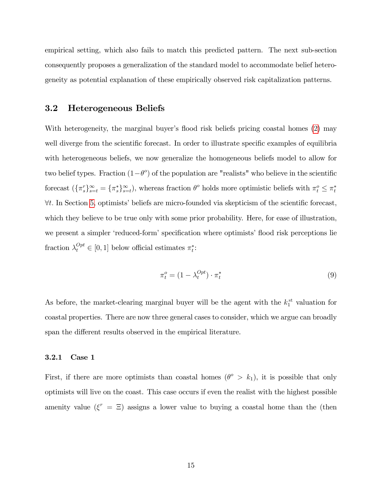empirical setting, which also fails to match this predicted pattern. The next sub-section consequently proposes a generalization of the standard model to accommodate belief heterogeneity as potential explanation of these empirically observed risk capitalization patterns.

#### 3.2 Heterogeneous Beliefs

With heterogeneity, the marginal buyer's flood risk beliefs pricing coastal homes ([2](#page-11-1)) may well diverge from the scientific forecast. In order to illustrate specific examples of equilibria with heterogeneous beliefs, we now generalize the homogeneous beliefs model to allow for two belief types. Fraction  $(1-\theta^o)$  of the population are "realists" who believe in the scientific forecast  $(\{\pi_s^r\}_{s=t}^\infty = \{\pi_s^*\}_{s=t}^\infty)$ , whereas fraction  $\theta^o$  holds more optimistic beliefs with  $\pi_t^o \leq \pi_t^*$  $\forall t.$  In Section [5](#page-27-0), optimists' beliefs are micro-founded via skepticism of the scientific forecast, which they believe to be true only with some prior probability. Here, for ease of illustration, we present a simpler 'reduced-form' specification where optimists' flood risk perceptions lie fraction  $\lambda_t^{Opt} \in [0, 1]$  below official estimates  $\pi_t^*$ :

<span id="page-14-0"></span>
$$
\pi_t^o = (1 - \lambda_t^{Opt}) \cdot \pi_t^* \tag{9}
$$

As before, the market-clearing marginal buyer will be the agent with the  $k_1^{\text{st}}$  valuation for coastal properties. There are now three general cases to consider, which we argue can broadly span the different results observed in the empirical literature.

#### 3.2.1 Case 1

First, if there are more optimists than coastal homes  $(\theta^{\circ} > k_1)$ , it is possible that only optimists will live on the coast. This case occurs if even the realist with the highest possible amenity value  $(\xi^r = \Xi)$  assigns a lower value to buying a coastal home than the (then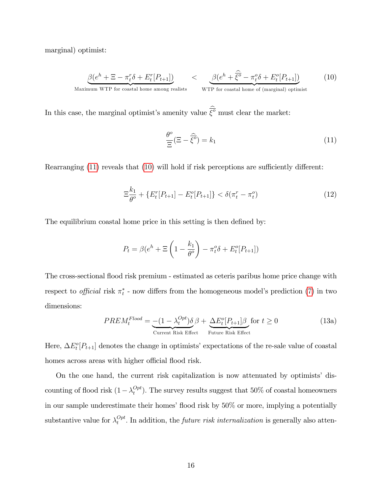marginal) optimist:

<span id="page-15-1"></span>
$$
\underbrace{\beta(e^h + \Xi - \pi_t^r \delta + E_t^r[P_{t+1}])}_{\text{Maximum WTP for coastal home among realists}} < \underbrace{\beta(e^h + \widehat{\xi}^o - \pi_t^o \delta + E_t^o[P_{t+1}])}_{\text{WTP for coastal home of (marginal) optimist}} \tag{10}
$$

In this case, the marginal optimist's amenity value  $\overline{\xi^{\circ}}$  must clear the market:

<span id="page-15-0"></span>
$$
\frac{\theta^o}{\Xi}(\Xi - \widehat{\xi^o}) = k_1 \tag{11}
$$

Rearranging  $(11)$  $(11)$  $(11)$  reveals that  $(10)$  $(10)$  $(10)$  will hold if risk perceptions are sufficiently different:

<span id="page-15-2"></span>
$$
\Xi_{\theta^o}^{k_1} + \{ E_t^r[P_{t+1}] - E_t^o[P_{t+1}] \} < \delta(\pi_t^r - \pi_t^o) \tag{12}
$$

The equilibrium coastal home price in this setting is then defined by:

$$
P_t = \beta (e^h + \Xi \left( 1 - \frac{k_1}{\theta^o} \right) - \pi_t^o \delta + E_t^o [P_{t+1}])
$$

The cross-sectional áood risk premium - estimated as ceteris paribus home price change with respect to *official* risk  $\pi_t^*$  - now differs from the homogeneous model's prediction ([7](#page-13-1)) in two dimensions:

$$
PREM_t^{Flood} = \underbrace{-(1 - \lambda_t^{Opt})\delta}_{\text{Current Risk Effect}} \beta + \underbrace{\Delta E_t^o[P_{t+1}]\beta}_{\text{Future Risk Effect}} \text{for } t \ge 0
$$
\n(13a)

Here,  $\Delta E_t^o[P_{t+1}]$  denotes the change in optimists' expectations of the re-sale value of coastal homes across areas with higher official flood risk.

On the one hand, the current risk capitalization is now attenuated by optimists' discounting of flood risk  $(1 - \lambda_t^{Opt})$  $t^{Opt}_{t}$ ). The survey results suggest that  $50\%$  of coastal homeowners in our sample underestimate their homes' flood risk by  $50\%$  or more, implying a potentially substantive value for  $\lambda_t^{Opt}$  $t_t^{opt}$ . In addition, the *future risk internalization* is generally also atten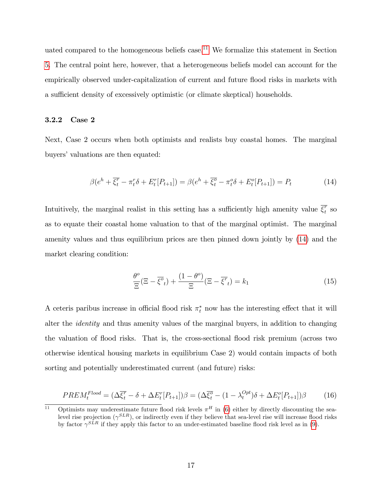uated compared to the homogeneous beliefs case.<sup>[11](#page-16-0)</sup> We formalize this statement in Section [5](#page-27-0). The central point here, however, that a heterogeneous beliefs model can account for the empirically observed under-capitalization of current and future áood risks in markets with a sufficient density of excessively optimistic (or climate skeptical) households.

#### 3.2.2 Case 2

Next, Case 2 occurs when both optimists and realists buy coastal homes. The marginal buyers' valuations are then equated:

<span id="page-16-1"></span>
$$
\beta(e^h + \overline{\xi_t^r} - \pi_t^r \delta + E_t^r[P_{t+1}]) = \beta(e^h + \overline{\xi_t^o} - \pi_t^o \delta + E_t^o[P_{t+1}]) = P_t \tag{14}
$$

Intuitively, the marginal realist in this setting has a sufficiently high amenity value  $\overline{\xi_t^r}$  $\int_{t}^{r}$  so as to equate their coastal home valuation to that of the marginal optimist. The marginal amenity values and thus equilibrium prices are then pinned down jointly by ([14](#page-16-1)) and the market clearing condition:

$$
\frac{\theta^o}{\Xi}(\Xi - \overline{\xi^o}_t) + \frac{(1 - \theta^o)}{\Xi}(\Xi - \overline{\xi^r}_t) = k_1
$$
\n(15)

A ceteris paribus increase in official flood risk  $\pi_t^*$  now has the interesting effect that it will alter the identity and thus amenity values of the marginal buyers, in addition to changing the valuation of áood risks. That is, the cross-sectional áood risk premium (across two otherwise identical housing markets in equilibrium Case 2) would contain impacts of both sorting and potentially underestimated current (and future) risks:

<span id="page-16-2"></span>
$$
PREM_t^{Flood} = (\Delta \overline{\xi_t^r} - \delta + \Delta E_t^r[P_{t+1}])\beta = (\Delta \overline{\xi_t^o} - (1 - \lambda_t^{Opt})\delta + \Delta E_t^o[P_{t+1}])\beta \tag{16}
$$

<span id="page-16-0"></span><sup>&</sup>lt;sup>11</sup> Optimists may underestimate future flood risk levels  $\pi^H$  in ([6](#page-13-2)) either by directly discounting the sealevel rise projection  $(\gamma^{SLR})$ , or indirectly even if they believe that sea-level rise will increase flood risks by factor  $\gamma^{SLR}$  if they apply this factor to an under-estimated baseline flood risk level as in ([9](#page-14-0)).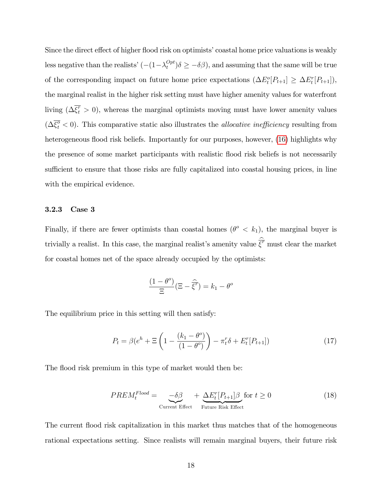Since the direct effect of higher flood risk on optimists' coastal home price valuations is weakly less negative than the realists'  $(-(1 - \lambda_t^{Opt})$  $\sum_{t}^{Opt}$ ) $\delta \geq -\delta\beta$ , and assuming that the same will be true of the corresponding impact on future home price expectations  $(\Delta E_t^o[P_{t+1}] \geq \Delta E_t^r[P_{t+1}]),$ the marginal realist in the higher risk setting must have higher amenity values for waterfront living  $(\Delta \overline{\xi_t^r} > 0)$ , whereas the marginal optimists moving must have lower amenity values  $(\Delta \overline{\xi_t^o} < 0)$ . This comparative static also illustrates the *allocative inefficiency* resulting from heterogeneous flood risk beliefs. Importantly for our purposes, however, ([16](#page-16-2)) highlights why the presence of some market participants with realistic flood risk beliefs is not necessarily sufficient to ensure that those risks are fully capitalized into coastal housing prices, in line with the empirical evidence.

#### 3.2.3 Case 3

Finally, if there are fewer optimists than coastal homes  $(\theta^{\circ} < k_1)$ , the marginal buyer is trivially a realist. In this case, the marginal realist's amenity value  $\overline{\xi}^{\tau}$  must clear the market for coastal homes net of the space already occupied by the optimists:

$$
\frac{(1 - \theta^o)}{\Xi} (\Xi - \widehat{\xi^r}) = k_1 - \theta^o
$$

The equilibrium price in this setting will then satisfy:

<span id="page-17-0"></span>
$$
P_t = \beta (e^h + \Xi \left( 1 - \frac{(k_1 - \theta^o)}{(1 - \theta^o)} \right) - \pi_t^r \delta + E_t^r [P_{t+1}])
$$
\n(17)

The flood risk premium in this type of market would then be:

$$
PREM_t^{Flood} = \underbrace{-\delta\beta}_{\text{Current Effect}} + \underbrace{\Delta E_t^r[P_{t+1}]\beta}_{\text{Future Risk Effect}} \text{for } t \ge 0
$$
 (18)

The current flood risk capitalization in this market thus matches that of the homogeneous rational expectations setting. Since realists will remain marginal buyers, their future risk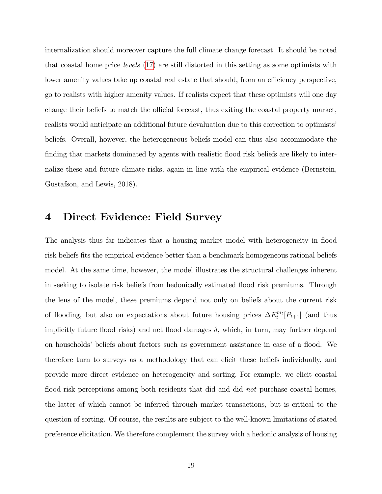internalization should moreover capture the full climate change forecast. It should be noted that coastal home price levels ([17](#page-17-0)) are still distorted in this setting as some optimists with lower amenity values take up coastal real estate that should, from an efficiency perspective, go to realists with higher amenity values. If realists expect that these optimists will one day change their beliefs to match the official forecast, thus exiting the coastal property market, realists would anticipate an additional future devaluation due to this correction to optimists' beliefs. Overall, however, the heterogeneous beliefs model can thus also accommodate the finding that markets dominated by agents with realistic flood risk beliefs are likely to internalize these and future climate risks, again in line with the empirical evidence (Bernstein, Gustafson, and Lewis, 2018).

## <span id="page-18-0"></span>4 Direct Evidence: Field Survey

The analysis thus far indicates that a housing market model with heterogeneity in flood risk beliefs fits the empirical evidence better than a benchmark homogeneous rational beliefs model. At the same time, however, the model illustrates the structural challenges inherent in seeking to isolate risk beliefs from hedonically estimated flood risk premiums. Through the lens of the model, these premiums depend not only on beliefs about the current risk of flooding, but also on expectations about future housing prices  $\Delta E_t^{m_t}[P_{t+1}]$  (and thus implicitly future flood risks) and net flood damages  $\delta$ , which, in turn, may further depend on households' beliefs about factors such as government assistance in case of a flood. We therefore turn to surveys as a methodology that can elicit these beliefs individually, and provide more direct evidence on heterogeneity and sorting. For example, we elicit coastal flood risk perceptions among both residents that did and did not purchase coastal homes, the latter of which cannot be inferred through market transactions, but is critical to the question of sorting. Of course, the results are subject to the well-known limitations of stated preference elicitation. We therefore complement the survey with a hedonic analysis of housing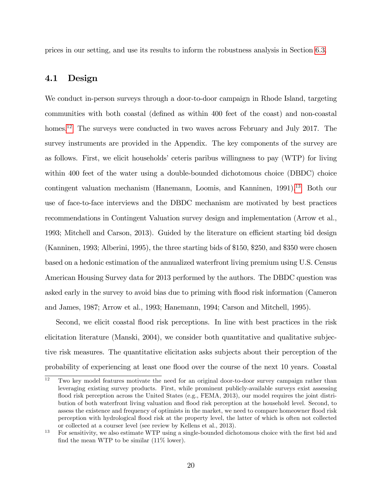prices in our setting, and use its results to inform the robustness analysis in Section [6](#page-45-0):3.

### 4.1 Design

We conduct in-person surveys through a door-to-door campaign in Rhode Island, targeting communities with both coastal (defined as within 400 feet of the coast) and non-coastal homes.<sup>[12](#page-19-0)</sup> The surveys were conducted in two waves across February and July 2017. The survey instruments are provided in the Appendix. The key components of the survey are as follows. First, we elicit households' ceteris paribus willingness to pay  $(WTP)$  for living within 400 feet of the water using a double-bounded dichotomous choice (DBDC) choice contingent valuation mechanism (Hanemann, Loomis, and Kanninen, 1991).<sup>[13](#page-19-1)</sup> Both our use of face-to-face interviews and the DBDC mechanism are motivated by best practices recommendations in Contingent Valuation survey design and implementation (Arrow et al., 1993; Mitchell and Carson, 2013). Guided by the literature on efficient starting bid design (Kanninen, 1993; Alberini, 1995), the three starting bids of \$150, \$250, and \$350 were chosen based on a hedonic estimation of the annualized waterfront living premium using U.S. Census American Housing Survey data for 2013 performed by the authors. The DBDC question was asked early in the survey to avoid bias due to priming with áood risk information (Cameron and James, 1987; Arrow et al., 1993; Hanemann, 1994; Carson and Mitchell, 1995).

Second, we elicit coastal flood risk perceptions. In line with best practices in the risk elicitation literature (Manski, 2004), we consider both quantitative and qualitative subjective risk measures. The quantitative elicitation asks subjects about their perception of the probability of experiencing at least one áood over the course of the next 10 years. Coastal

<span id="page-19-0"></span> $12$  Two key model features motivate the need for an original door-to-door survey campaign rather than leveraging existing survey products. First, while prominent publicly-available surveys exist assessing flood risk perception across the United States (e.g., FEMA, 2013), our model requires the joint distribution of both waterfront living valuation and áood risk perception at the household level. Second, to assess the existence and frequency of optimists in the market, we need to compare homeowner flood risk perception with hydrological áood risk at the property level, the latter of which is often not collected or collected at a courser level (see review by Kellens et al., 2013).

<span id="page-19-1"></span><sup>&</sup>lt;sup>13</sup> For sensitivity, we also estimate WTP using a single-bounded dichotomous choice with the first bid and find the mean WTP to be similar  $(11\% \text{ lower})$ .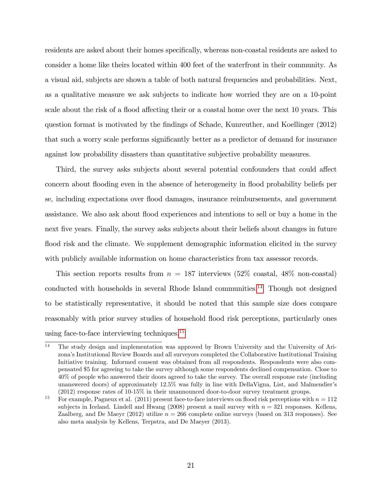residents are asked about their homes specifically, whereas non-coastal residents are asked to consider a home like theirs located within 400 feet of the waterfront in their community. As a visual aid, subjects are shown a table of both natural frequencies and probabilities. Next, as a qualitative measure we ask subjects to indicate how worried they are on a 10-point scale about the risk of a flood affecting their or a coastal home over the next 10 years. This question format is motivated by the Öndings of Schade, Kunreuther, and Koellinger (2012) that such a worry scale performs significantly better as a predictor of demand for insurance against low probability disasters than quantitative subjective probability measures.

Third, the survey asks subjects about several potential confounders that could affect concern about flooding even in the absence of heterogeneity in flood probability beliefs per se, including expectations over áood damages, insurance reimbursements, and government assistance. We also ask about flood experiences and intentions to sell or buy a home in the next five years. Finally, the survey asks subjects about their beliefs about changes in future flood risk and the climate. We supplement demographic information elicited in the survey with publicly available information on home characteristics from tax assessor records.

This section reports results from  $n = 187$  interviews  $(52\% \text{ coastal}, 48\% \text{ non-coastal})$ conducted with households in several Rhode Island communities.<sup>[14](#page-20-0)</sup> Though not designed to be statistically representative, it should be noted that this sample size does compare reasonably with prior survey studies of household flood risk perceptions, particularly ones using face-to-face interviewing techniques.[15](#page-20-1)

<span id="page-20-0"></span><sup>14</sup> The study design and implementation was approved by Brown University and the University of Arizonaís Institutional Review Boards and all surveyors completed the Collaborative Institutional Training Initiative training. Informed consent was obtained from all respondents. Respondents were also compensated \$5 for agreeing to take the survey although some respondents declined compensation. Close to 40% of people who answered their doors agreed to take the survey. The overall response rate (including unanswered doors) of approximately 12.5% was fully in line with DellaVigna, List, and Malmendierís (2012) response rates of 10-15% in their unannounced door-to-door survey treatment groups.

<span id="page-20-1"></span><sup>&</sup>lt;sup>15</sup> For example, Pagneux et al. (2011) present face-to-face interviews on flood risk perceptions with  $n = 112$ subjects in Iceland. Lindell and Hwang (2008) present a mail survey with  $n = 321$  responses. Kellens, Zaalberg, and De Maeyr (2012) utilize  $n = 266$  complete online surveys (based on 313 responses). See also meta analysis by Kellens, Terpstra, and De Maeyer (2013).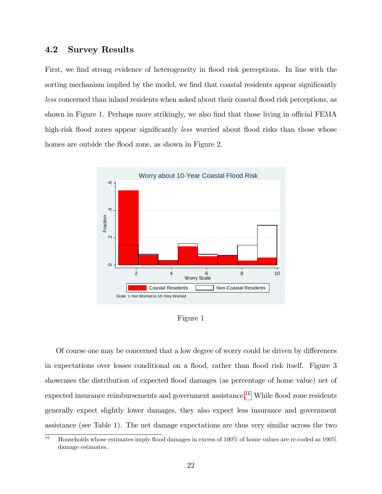### 4.2 Survey Results

First, we find strong evidence of heterogeneity in flood risk perceptions. In line with the sorting mechanism implied by the model, we find that coastal residents appear significantly less concerned than inland residents when asked about their coastal áood risk perceptions, as shown in Figure 1. Perhaps more strikingly, we also find that those living in official FEMA high-risk flood zones appear significantly *less* worried about flood risks than those whose homes are outside the flood zone, as shown in Figure 2.



Figure 1

Of course one may be concerned that a low degree of worry could be driven by differences in expectations over losses conditional on a flood, rather than flood risk itself. Figure 3 showcases the distribution of expected flood damages (as percentage of home value) net of expected insurance reimbursements and government assistance.<sup>[16](#page-21-0)</sup> While flood zone residents generally expect slightly lower damages, they also expect less insurance and government assistance (see Table 1). The net damage expectations are thus very similar across the two

<span id="page-21-0"></span><sup>&</sup>lt;sup>16</sup> Households whose estimates imply flood damages in excess of 100% of home values are re-coded as 100% damage estimates.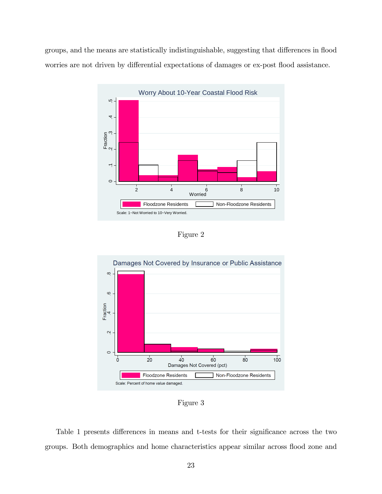groups, and the means are statistically indistinguishable, suggesting that differences in flood worries are not driven by differential expectations of damages or ex-post flood assistance.



Figure 2



Figure 3

Table 1 presents differences in means and t-tests for their significance across the two groups. Both demographics and home characteristics appear similar across áood zone and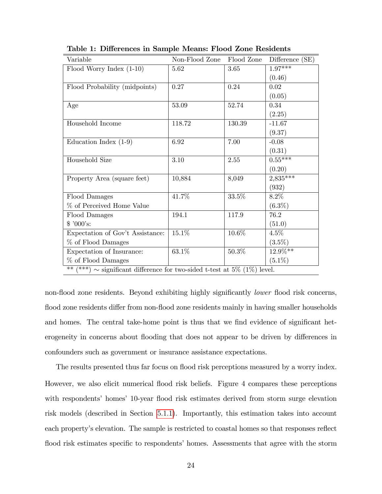| Variable                         | Non-Flood Zone                                                               | Flood Zone | Difference (SE) |  |  |  |  |
|----------------------------------|------------------------------------------------------------------------------|------------|-----------------|--|--|--|--|
| Flood Worry Index $(1-10)$       | 5.62                                                                         | 3.65       | $1.97***$       |  |  |  |  |
|                                  |                                                                              |            | (0.46)          |  |  |  |  |
| Flood Probability (midpoints)    | 0.27                                                                         | 0.24       | 0.02            |  |  |  |  |
|                                  |                                                                              |            | (0.05)          |  |  |  |  |
| Age                              | 53.09                                                                        | 52.74      | 0.34            |  |  |  |  |
|                                  |                                                                              |            | (2.25)          |  |  |  |  |
| Household Income                 | 118.72                                                                       | 130.39     | $-11.67$        |  |  |  |  |
|                                  |                                                                              |            | (9.37)          |  |  |  |  |
| Education Index $(1-9)$          | 6.92                                                                         | 7.00       | $-0.08$         |  |  |  |  |
|                                  |                                                                              |            | (0.31)          |  |  |  |  |
| Household Size                   | 3.10                                                                         | 2.55       | $0.55***$       |  |  |  |  |
|                                  |                                                                              |            | (0.20)          |  |  |  |  |
| Property Area (square feet)      | 10,884                                                                       | 8,049      | $2,835***$      |  |  |  |  |
|                                  |                                                                              |            | (932)           |  |  |  |  |
| Flood Damages                    | 41.7%                                                                        | 33.5%      | $8.2\%$         |  |  |  |  |
| % of Perceived Home Value        |                                                                              |            | $(6.3\%)$       |  |  |  |  |
| Flood Damages                    | 194.1                                                                        | 117.9      | 76.2            |  |  |  |  |
| \$'000's:                        |                                                                              |            | (51.0)          |  |  |  |  |
| Expectation of Gov't Assistance: | 15.1%                                                                        | $10.6\%$   | $4.5\%$         |  |  |  |  |
| % of Flood Damages               |                                                                              |            | $(3.5\%)$       |  |  |  |  |
| Expectation of Insurance:        | 63.1%                                                                        | 50.3%      | 12.9%**         |  |  |  |  |
| % of Flood Damages               |                                                                              |            | $(5.1\%)$       |  |  |  |  |
| $***$                            | $(***) \sim$ significant difference for two-sided t-test at 5\% (1\%) level. |            |                 |  |  |  |  |

Table 1: Differences in Sample Means: Flood Zone Residents

non-flood zone residents. Beyond exhibiting highly significantly *lower* flood risk concerns, flood zone residents differ from non-flood zone residents mainly in having smaller households and homes. The central take-home point is thus that we find evidence of significant heterogeneity in concerns about flooding that does not appear to be driven by differences in confounders such as government or insurance assistance expectations.

The results presented thus far focus on flood risk perceptions measured by a worry index. However, we also elicit numerical flood risk beliefs. Figure 4 compares these perceptions with respondents' homes' 10-year flood risk estimates derived from storm surge elevation risk models (described in Section [5](#page-35-0):1:1). Importantly, this estimation takes into account each property's elevation. The sample is restricted to coastal homes so that responses reflect flood risk estimates specific to respondents' homes. Assessments that agree with the storm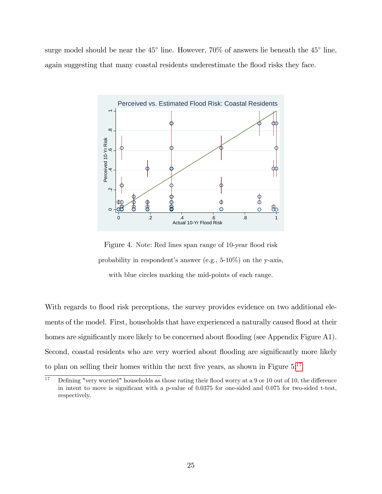surge model should be near the  $45^{\circ}$  line. However,  $70\%$  of answers lie beneath the  $45^{\circ}$  line, again suggesting that many coastal residents underestimate the flood risks they face.



Figure 4. Note: Red lines span range of 10-year flood risk probability in respondent's answer (e.g.,  $5-10\%$ ) on the y-axis, with blue circles marking the mid-points of each range.

With regards to flood risk perceptions, the survey provides evidence on two additional elements of the model. First, households that have experienced a naturally caused flood at their homes are significantly more likely to be concerned about flooding (see Appendix Figure A1). Second, coastal residents who are very worried about flooding are significantly more likely to plan on selling their homes within the next five years, as shown in Figure  $5:^{17}$  $5:^{17}$  $5:^{17}$ 

<span id="page-24-0"></span> $17$  Defining "very worried" households as those rating their flood worry at a 9 or 10 out of 10, the difference in intent to move is significant with a p-value of 0.0375 for one-sided and 0.075 for two-sided t-test, respectively.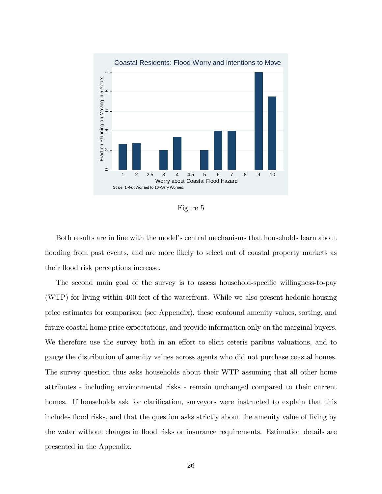

Figure 5

Both results are in line with the model's central mechanisms that households learn about flooding from past events, and are more likely to select out of coastal property markets as their flood risk perceptions increase.

The second main goal of the survey is to assess household-specific willingness-to-pay (WTP) for living within 400 feet of the waterfront. While we also present hedonic housing price estimates for comparison (see Appendix), these confound amenity values, sorting, and future coastal home price expectations, and provide information only on the marginal buyers. We therefore use the survey both in an effort to elicit ceteris paribus valuations, and to gauge the distribution of amenity values across agents who did not purchase coastal homes. The survey question thus asks households about their WTP assuming that all other home attributes - including environmental risks - remain unchanged compared to their current homes. If households ask for clarification, surveyors were instructed to explain that this includes flood risks, and that the question asks strictly about the amenity value of living by the water without changes in flood risks or insurance requirements. Estimation details are presented in the Appendix.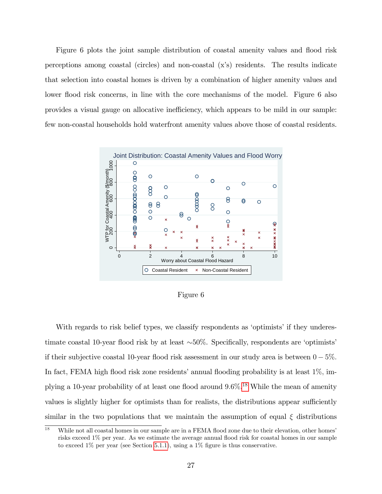Figure 6 plots the joint sample distribution of coastal amenity values and flood risk perceptions among coastal (circles) and non-coastal (xís) residents. The results indicate that selection into coastal homes is driven by a combination of higher amenity values and lower flood risk concerns, in line with the core mechanisms of the model. Figure 6 also provides a visual gauge on allocative ine¢ ciency, which appears to be mild in our sample: few non-coastal households hold waterfront amenity values above those of coastal residents.



Figure 6

With regards to risk belief types, we classify respondents as 'optimists' if they underestimate coastal 10-year flood risk by at least  $\sim 50\%$ . Specifically, respondents are 'optimists' if their subjective coastal 10-year flood risk assessment in our study area is between  $0-5\%$ . In fact, FEMA high flood risk zone residents' annual flooding probability is at least  $1\%$ , implying a 10-year probability of at least one flood around  $9.6\%$ .<sup>[18](#page-26-0)</sup> While the mean of amenity values is slightly higher for optimists than for realists, the distributions appear sufficiently similar in the two populations that we maintain the assumption of equal  $\xi$  distributions

<span id="page-26-0"></span><sup>&</sup>lt;sup>18</sup> While not all coastal homes in our sample are in a FEMA flood zone due to their elevation, other homes' risks exceed 1% per year. As we estimate the average annual áood risk for coastal homes in our sample to exceed  $1\%$  per year (see Section [5](#page-35-0).1.1), using a  $1\%$  figure is thus conservative.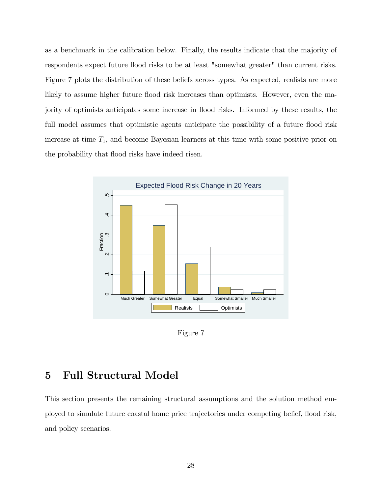as a benchmark in the calibration below. Finally, the results indicate that the majority of respondents expect future flood risks to be at least "somewhat greater" than current risks. Figure 7 plots the distribution of these beliefs across types. As expected, realists are more likely to assume higher future flood risk increases than optimists. However, even the majority of optimists anticipates some increase in flood risks. Informed by these results, the full model assumes that optimistic agents anticipate the possibility of a future flood risk increase at time  $T_1$ , and become Bayesian learners at this time with some positive prior on the probability that flood risks have indeed risen.



Figure 7

## <span id="page-27-0"></span>5 Full Structural Model

This section presents the remaining structural assumptions and the solution method employed to simulate future coastal home price trajectories under competing belief, áood risk, and policy scenarios.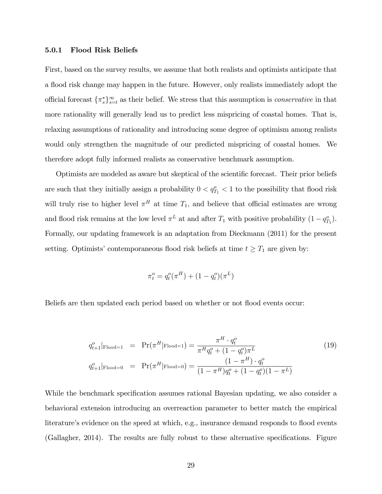#### 5.0.1 Flood Risk Beliefs

First, based on the survey results, we assume that both realists and optimists anticipate that a flood risk change may happen in the future. However, only realists immediately adopt the official forecast  $\{\pi_s^*\}_{s=t}^{\infty}$  as their belief. We stress that this assumption is *conservative* in that more rationality will generally lead us to predict less mispricing of coastal homes. That is, relaxing assumptions of rationality and introducing some degree of optimism among realists would only strengthen the magnitude of our predicted mispricing of coastal homes. We therefore adopt fully informed realists as conservative benchmark assumption.

Optimists are modeled as aware but skeptical of the scientific forecast. Their prior beliefs are such that they initially assign a probability  $0 < q_{T_1}^o < 1$  to the possibility that flood risk will truly rise to higher level  $\pi^H$  at time  $T_1$ , and believe that official estimates are wrong and flood risk remains at the low level  $\pi^L$  at and after  $T_1$  with positive probability  $(1 - q_{T_1}^o)$ . Formally, our updating framework is an adaptation from Dieckmann (2011) for the present setting. Optimists' contemporaneous flood risk beliefs at time  $t \geq T_1$  are given by:

$$
\pi_t^o = q_t^o(\pi^H) + (1 - q_t^o)(\pi^L)
$$

Beliefs are then updated each period based on whether or not flood events occur:

<span id="page-28-0"></span>
$$
q_{t+1}^o|_{\text{Flood}=1} = \Pr(\pi^H|\text{Flood}=1) = \frac{\pi^H \cdot q_t^o}{\pi^H q_t^o + (1 - q_t^o)\pi^L}
$$
(19)  

$$
q_{t+1}^o|_{\text{Flood}=0} = \Pr(\pi^H|\text{Flood}=0) = \frac{(1 - \pi^H) \cdot q_t^o}{(1 - \pi^H)q_t^o + (1 - q_t^o)(1 - \pi^L)}
$$

While the benchmark specification assumes rational Bayesian updating, we also consider a behavioral extension introducing an overreaction parameter to better match the empirical literature's evidence on the speed at which, e.g., insurance demand responds to flood events (Gallagher, 2014). The results are fully robust to these alternative specifications. Figure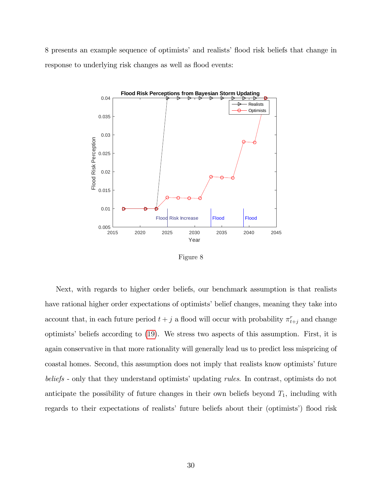8 presents an example sequence of optimists' and realists' flood risk beliefs that change in response to underlying risk changes as well as flood events:



Figure 8

Next, with regards to higher order beliefs, our benchmark assumption is that realists have rational higher order expectations of optimists' belief changes, meaning they take into account that, in each future period  $t + j$  a flood will occur with probability  $\pi_{t+j}^r$  and change optimists' beliefs according to ([19](#page-28-0)). We stress two aspects of this assumption. First, it is again conservative in that more rationality will generally lead us to predict less mispricing of coastal homes. Second, this assumption does not imply that realists know optimists' future beliefs - only that they understand optimists' updating *rules*. In contrast, optimists do not anticipate the possibility of future changes in their own beliefs beyond  $T_1$ , including with regards to their expectations of realists' future beliefs about their (optimists') flood risk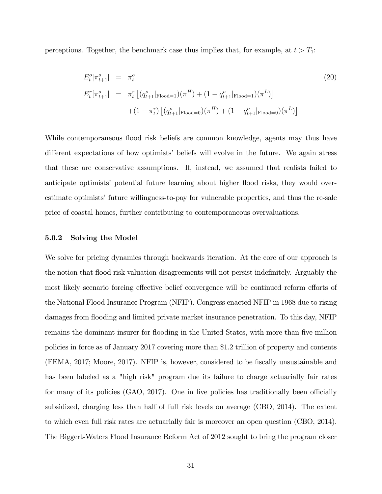perceptions. Together, the benchmark case thus implies that, for example, at  $t > T_1$ :

$$
E_t^o[\pi_{t+1}^o] = \pi_t^o
$$
\n
$$
E_t^r[\pi_{t+1}^o] = \pi_t^r [(q_{t+1}^o|\text{Flood}=1)(\pi^H) + (1 - q_{t+1}^o|\text{Flood}=1)(\pi^L)]
$$
\n
$$
+ (1 - \pi_t^r) [(q_{t+1}^o|\text{Flood}=0)(\pi^H) + (1 - q_{t+1}^o|\text{Flood}=0)(\pi^L)]
$$
\n(20)

While contemporaneous flood risk beliefs are common knowledge, agents may thus have different expectations of how optimists' beliefs will evolve in the future. We again stress that these are conservative assumptions. If, instead, we assumed that realists failed to anticipate optimists' potential future learning about higher flood risks, they would overestimate optimists' future willingness-to-pay for vulnerable properties, and thus the re-sale price of coastal homes, further contributing to contemporaneous overvaluations.

#### 5.0.2 Solving the Model

We solve for pricing dynamics through backwards iteration. At the core of our approach is the notion that flood risk valuation disagreements will not persist indefinitely. Arguably the most likely scenario forcing effective belief convergence will be continued reform efforts of the National Flood Insurance Program (NFIP). Congress enacted NFIP in 1968 due to rising damages from flooding and limited private market insurance penetration. To this day, NFIP remains the dominant insurer for flooding in the United States, with more than five million policies in force as of January 2017 covering more than \$1.2 trillion of property and contents (FEMA, 2017; Moore, 2017). NFIP is, however, considered to be fiscally unsustainable and has been labeled as a "high risk" program due its failure to charge actuarially fair rates for many of its policies  $(GAO, 2017)$ . One in five policies has traditionally been officially subsidized, charging less than half of full risk levels on average (CBO, 2014). The extent to which even full risk rates are actuarially fair is moreover an open question (CBO, 2014). The Biggert-Waters Flood Insurance Reform Act of 2012 sought to bring the program closer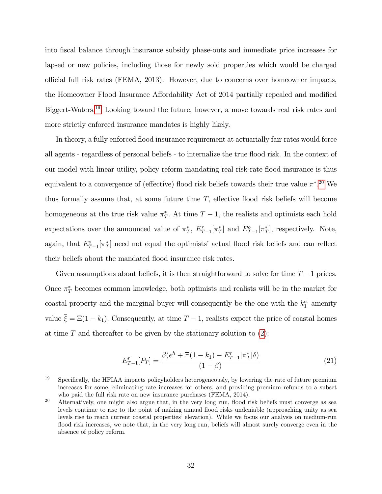into Öscal balance through insurance subsidy phase-outs and immediate price increases for lapsed or new policies, including those for newly sold properties which would be charged o¢ cial full risk rates (FEMA, 2013). However, due to concerns over homeowner impacts, the Homeowner Flood Insurance Affordability Act of 2014 partially repealed and modified Biggert-Waters.[19](#page-31-0) Looking toward the future, however, a move towards real risk rates and more strictly enforced insurance mandates is highly likely.

In theory, a fully enforced flood insurance requirement at actuarially fair rates would force all agents - regardless of personal beliefs - to internalize the true flood risk. In the context of our model with linear utility, policy reform mandating real risk-rate áood insurance is thus equivalent to a convergence of (effective) flood risk beliefs towards their true value  $\pi^*$ .<sup>[20](#page-31-1)</sup> We thus formally assume that, at some future time  $T$ , effective flood risk beliefs will become homogeneous at the true risk value  $\pi_T^*$ . At time  $T-1$ , the realists and optimists each hold expectations over the announced value of  $\pi^*_T$ ,  $E^r_{T-1}[\pi^*_T]$  and  $E^o_{T-1}[\pi^*_T]$ , respectively. Note, again, that  $E_{T-1}^{\circ}[\pi_T^*]$  need not equal the optimists' actual flood risk beliefs and can reflect their beliefs about the mandated flood insurance risk rates.

Given assumptions about beliefs, it is then straightforward to solve for time  $T-1$  prices. Once  $\pi^*$  becomes common knowledge, both optimists and realists will be in the market for coastal property and the marginal buyer will consequently be the one with the  $k_1^{\text{st}}$  amenity value  $\overline{\xi} = \Xi(1 - k_1)$ . Consequently, at time  $T - 1$ , realists expect the price of coastal homes at time  $T$  and thereafter to be given by the stationary solution to  $(2)$  $(2)$  $(2)$ :

<span id="page-31-2"></span>
$$
E_{T-1}^r[P_T] = \frac{\beta(e^h + \Xi(1 - k_1) - E_{T-1}^r[\pi_T^*]\delta)}{(1 - \beta)}
$$
\n(21)

<span id="page-31-0"></span> $\frac{19}{19}$  Specifically, the HFIAA impacts policyholders heterogeneously, by lowering the rate of future premium increases for some, eliminating rate increases for others, and providing premium refunds to a subset who paid the full risk rate on new insurance purchases (FEMA, 2014).

<span id="page-31-1"></span><sup>&</sup>lt;sup>20</sup> Alternatively, one might also argue that, in the very long run, flood risk beliefs must converge as sea levels continue to rise to the point of making annual áood risks undeniable (approaching unity as sea levels rise to reach current coastal properties' elevation). While we focus our analysis on medium-run flood risk increases, we note that, in the very long run, beliefs will almost surely converge even in the absence of policy reform.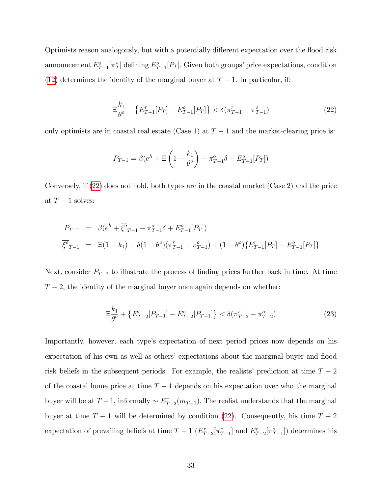Optimists reason analogously, but with a potentially different expectation over the flood risk announcement  $E_{T-1}^o[\pi_T^*]$  defining  $E_{T-1}^o[P_T]$ . Given both groups' price expectations, condition ([12](#page-15-2)) determines the identity of the marginal buyer at  $T-1$ . In particular, if:

<span id="page-32-0"></span>
$$
\Xi_{\theta^o}^{k_1} + \{ E_{T-1}^r[P_T] - E_{T-1}^o[P_T] \} < \delta(\pi_{T-1}^r - \pi_{T-1}^o) \tag{22}
$$

only optimists are in coastal real estate (Case 1) at  $T-1$  and the market-clearing price is:

$$
P_{T-1} = \beta(e^h + \Xi \left(1 - \frac{k_1}{\theta^o}\right) - \pi_{T-1}^o \delta + E_{T-1}^o[P_T])
$$

Conversely, if ([22](#page-32-0)) does not hold, both types are in the coastal market (Case 2) and the price at  $T-1$  solves:

$$
P_{T-1} = \beta (e^{h} + \overline{\xi}^{\sigma}{}_{T-1} - \pi^{o}_{T-1} \delta + E^{o}_{T-1}[P_{T}])
$$
  

$$
\overline{\xi}^{\sigma}{}_{T-1} = \Xi (1 - k_{1}) - \delta (1 - \theta^{o}) (\pi^{r}_{T-1} - \pi^{o}_{T-1}) + (1 - \theta^{o}) \{E^{r}_{T-1}[P_{T}] - E^{o}_{T-1}[P_{T}]\}
$$

Next, consider  $P_{T-2}$  to illustrate the process of finding prices further back in time. At time  $T-2$ , the identity of the marginal buyer once again depends on whether:

<span id="page-32-1"></span>
$$
\Xi_{\theta^o}^{k_1} + \{ E_{T-2}^r [P_{T-1}] - E_{T-2}^o [P_{T-1}] \} < \delta(\pi_{T-2}^r - \pi_{T-2}^o) \tag{23}
$$

Importantly, however, each type's expectation of next period prices now depends on his expectation of his own as well as others' expectations about the marginal buyer and flood risk beliefs in the subsequent periods. For example, the realists' prediction at time  $T - 2$ of the coastal home price at time  $T-1$  depends on his expectation over who the marginal buyer will be at  $T-1$ , informally  $\sim E_{T-2}^r(m_{T-1})$ . The realist understands that the marginal buyer at time  $T-1$  will be determined by condition ([22](#page-32-0)). Consequently, his time  $T-2$ expectation of prevailing beliefs at time  $T-1$   $(E_{T-2}^r[\pi_{T-1}^r]$  and  $E_{T-2}^r[\pi_{T-1}^o])$  determines his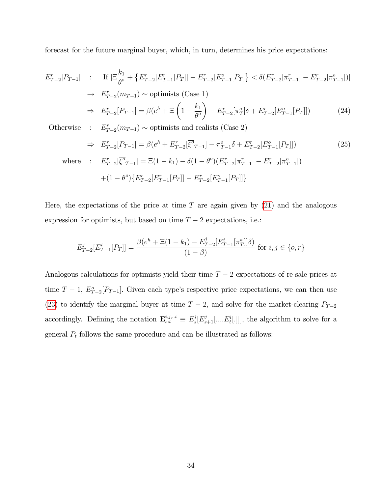forecast for the future marginal buyer, which, in turn, determines his price expectations:

$$
E_{T-2}^r[P_{T-1}] = \text{If } [\Xi_{\theta^o}^{k_1} + \{E_{T-2}^r[E_{T-1}^r[P_T]] - E_{T-2}^r[E_{T-1}^o[P_T]\} < \delta(E_{T-2}^r[\pi_{T-1}^r] - E_{T-2}^r[\pi_{T-1}^o])]
$$
\n
$$
\Rightarrow E_{T-2}^r(m_{T-1}) \sim \text{optimists (Case 1)}
$$
\n
$$
\Rightarrow E_{T-2}^r[P_{T-1}] = \beta(e^h + \Xi\left(1 - \frac{k_1}{\theta^o}\right) - E_{T-2}^r[\pi_T^o]\delta + E_{T-2}^r[E_{T-1}^o[P_T]] \tag{24}
$$

Otherwise :  $E_{T-2}^r(m_{T-1}) \sim$  optimists and realists (Case 2)

$$
\Rightarrow E_{T-2}^r[P_{T-1}] = \beta(e^h + E_{T-2}^r[\overline{\xi^o}_{T-1}] - \pi_{T-1}^o \delta + E_{T-2}^r[E_{T-1}^o[P_T]])
$$
(25)  
where :  $E_{T-2}^r[\overline{\xi^o}_{T-1}] = \Xi(1 - k_1) - \delta(1 - \theta^o)(E_{T-2}^r[\pi_{T-1}^r] - E_{T-2}^r[\pi_{T-1}^o])$ 

$$
+(1-\theta^o)\{E_{T-2}^r[E_{T-1}^r[P_T]]-E_{T-2}^r[E_{T-1}^o[P_T]]\}
$$

Here, the expectations of the price at time  $T$  are again given by  $(21)$  $(21)$  $(21)$  and the analogous expression for optimists, but based on time  $T-2$  expectations, i.e.:

$$
E_{T-2}^j[E_{T-1}^i[P_T]] = \frac{\beta(e^h + \Xi(1 - k_1) - E_{T-2}^j[E_{T-1}^i[\pi_T^*]]\delta)}{(1 - \beta)} \text{ for } i, j \in \{0, r\}
$$

Analogous calculations for optimists yield their time  $T - 2$  expectations of re-sale prices at time  $T-1$ ,  $E_{T-2}^{\circ}[P_{T-1}]$ . Given each type's respective price expectations, we can then use ([23](#page-32-1)) to identify the marginal buyer at time  $T-2$ , and solve for the market-clearing  $P_{T-2}$ accordingly. Defining the notation  $\mathbf{E}_{s:t}^{i,j...i} \equiv E_s^i[E_{s+1}^j[...E_t^i[.]]]$ , the algorithm to solve for a general  $P_t$  follows the same procedure and can be illustrated as follows: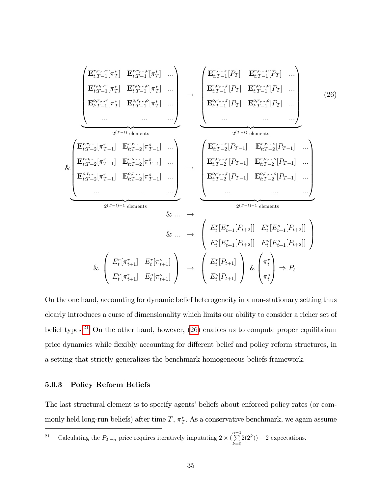<span id="page-34-1"></span>
$$
\begin{pmatrix}\n\mathbf{E}_{t:T-1}^{r,r,\ldots r}[\pi_{T}^{*}] & \mathbf{E}_{t:T-1}^{r,r,\ldots c}[\pi_{T}^{*}] & \cdots \\
\mathbf{E}_{t:T-1}^{r,r,\ldots r}[\pi_{T}^{*}] & \mathbf{E}_{t:T-1}^{r,r,\ldots c}[\pi_{T}^{*}] & \cdots \\
\mathbf{E}_{t:T-1}^{r,r,\ldots r}[\pi_{T}^{*}] & \mathbf{E}_{t:T-1}^{r,r,\ldots c}[\pi_{T}^{*}] & \cdots \\
\cdots & \cdots & \cdots \\
\vdots & \cdots & \cdots \\
\mathbf{E}_{t:T-2}^{r,r,\ldots}[\pi_{T-1}^{r}] & \mathbf{E}_{t:T-2}^{r,r,\ldots c}[\pi_{T-1}^{r}] & \cdots \\
\mathbf{E}_{t:T-2}^{r,r,\ldots c}[\pi_{T-1}^{r}] & \mathbf{E}_{t:T-2}^{r,r,\ldots c}[\pi_{T-1}^{r}] & \cdots \\
\cdots & \cdots & \cdots \\
\mathbf{E}_{t:T-2}^{r,r,\ldots c}[\pi_{T-1}^{r}] & \mathbf{E}_{t:T-2}^{r,r,\ldots c}[\pi_{T-1}^{r}] & \cdots \\
\mathbf{E}_{t:T-2}^{r,r,\ldots c}[\pi_{T-1}^{r}] & \mathbf{E}_{t:T-2}^{r,r,\ldots c}[\pi_{T-1}^{r}] & \cdots \\
\cdots & \cdots & \cdots \\
\mathbf{E}_{t:T-2}^{r,r,\ldots c}[\pi_{T-1}^{r}] & \mathbf{E}_{t:T-2}^{r,r,\ldots c}[\pi_{T-1}^{r}] & \cdots \\
\cdots & \cdots & \cdots \\
\vdots & \cdots & \cdots \\
\mathbf{E}_{t:T-2}^{r,r,\ldots c}[\pi_{T-1}^{r}] & \mathbf{E}_{t:T-2}^{r,r,\ldots c}[\pi_{T-1}^{r}] & \cdots \\
\cdots & \cdots & \cdots \\
\mathbf{E}_{t:T-2}^{r,r,\ldots c}[\pi_{T-1}^{r}] & \mathbf{E}_{t:T-2}^{r,r,\ldots c}[\pi_{T-1}^{r}] & \cdots \\
\cdots & \cdots & \cdots \\
\mathbf{E}_{t:T-2}^{r,r,\ldots c}[\pi_{T-1}^{r}] &
$$

On the one hand, accounting for dynamic belief heterogeneity in a non-stationary setting thus clearly introduces a curse of dimensionality which limits our ability to consider a richer set of belief types.<sup>[21](#page-34-0)</sup> On the other hand, however,  $(26)$  $(26)$  $(26)$  enables us to compute proper equilibrium price dynamics while flexibly accounting for different belief and policy reform structures, in a setting that strictly generalizes the benchmark homogeneous beliefs framework.

#### 5.0.3 Policy Reform Beliefs

The last structural element is to specify agents' beliefs about enforced policy rates (or commonly held long-run beliefs) after time  $T$ ,  $\pi^*_T$ . As a conservative benchmark, we again assume

<span id="page-34-0"></span><sup>21</sup> Calculating the  $P_{T-n}$  price requires iteratively imputating  $2 \times (\sum_{n=1}^{n-1}$  $_{k=0}$  $2(2^k))-2$  expectations.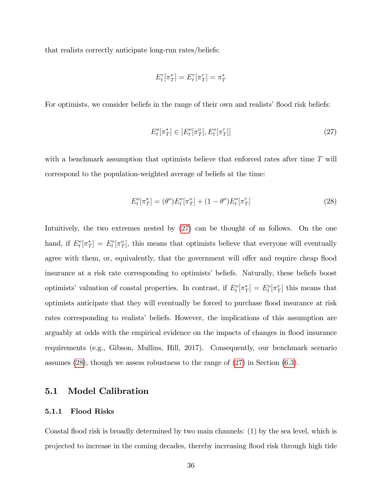that realists correctly anticipate long-run rates/beliefs:

$$
E_t^r[\pi_T^*] = E_t^r[\pi_T^r] = \pi_T^*
$$

For optimists, we consider beliefs in the range of their own and realists' flood risk beliefs:

<span id="page-35-1"></span>
$$
E_t^o[\pi_T^*] \in [E_t^o[\pi_T^o], E_t^o[\pi_T^r]] \tag{27}
$$

with a benchmark assumption that optimists believe that enforced rates after time  $T$  will correspond to the population-weighted average of beliefs at the time:

<span id="page-35-2"></span>
$$
E_t^o[\pi_T^*] = (\theta^o)E_t^o[\pi_T^o] + (1 - \theta^o)E_t^o[\pi_T^r]
$$
\n(28)

Intuitively, the two extremes nested by ([27](#page-35-1)) can be thought of as follows. On the one hand, if  $E_t^o[\pi_T^*] = E_t^o[\pi_T^o]$ , this means that optimists believe that everyone will eventually agree with them, or, equivalently, that the government will offer and require cheap flood insurance at a risk rate corresponding to optimists' beliefs. Naturally, these beliefs boost optimists' valuation of coastal properties. In contrast, if  $E_t^o[\pi_T^*] = E_t^o[\pi_T]$  this means that optimists anticipate that they will eventually be forced to purchase flood insurance at risk rates corresponding to realists' beliefs. However, the implications of this assumption are arguably at odds with the empirical evidence on the impacts of changes in flood insurance requirements (e.g., Gibson, Mullins, Hill, 2017). Consequently, our benchmark scenario assumes  $(28)$  $(28)$  $(28)$ , though we assess robustness to the range of  $(27)$  $(27)$  $(27)$  in Section  $(6.3)$  $(6.3)$  $(6.3)$ .

#### 5.1 Model Calibration

#### <span id="page-35-0"></span>5.1.1 Flood Risks

Coastal áood risk is broadly determined by two main channels: (1) by the sea level, which is projected to increase in the coming decades, thereby increasing áood risk through high tide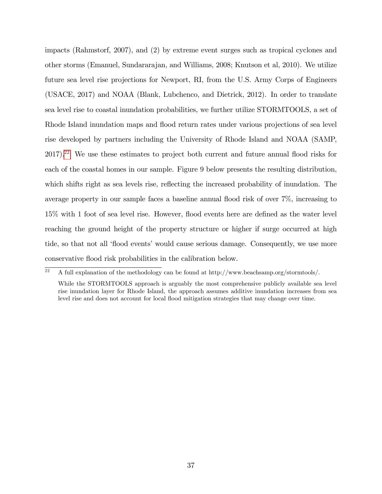impacts (Rahmstorf, 2007), and (2) by extreme event surges such as tropical cyclones and other storms (Emanuel, Sundararajan, and Williams, 2008; Knutson et al, 2010). We utilize future sea level rise projections for Newport, RI, from the U.S. Army Corps of Engineers (USACE, 2017) and NOAA (Blank, Lubchenco, and Dietrick, 2012). In order to translate sea level rise to coastal inundation probabilities, we further utilize STORMTOOLS, a set of Rhode Island inundation maps and flood return rates under various projections of sea level rise developed by partners including the University of Rhode Island and NOAA (SAMP,  $2017$ <sup>[22](#page-36-0)</sup> We use these estimates to project both current and future annual flood risks for each of the coastal homes in our sample. Figure 9 below presents the resulting distribution, which shifts right as sea levels rise, reflecting the increased probability of inundation. The average property in our sample faces a baseline annual áood risk of over 7%, increasing to 15% with 1 foot of sea level rise. However, flood events here are defined as the water level reaching the ground height of the property structure or higher if surge occurred at high tide, so that not all 'flood events' would cause serious damage. Consequently, we use more conservative áood risk probabilities in the calibration below.

<span id="page-36-0"></span> $22$  A full explanation of the methodology can be found at http://www.beachsamp.org/stormtools/.

While the STORMTOOLS approach is arguably the most comprehensive publicly available sea level rise inundation layer for Rhode Island, the approach assumes additive inundation increases from sea level rise and does not account for local flood mitigation strategies that may change over time.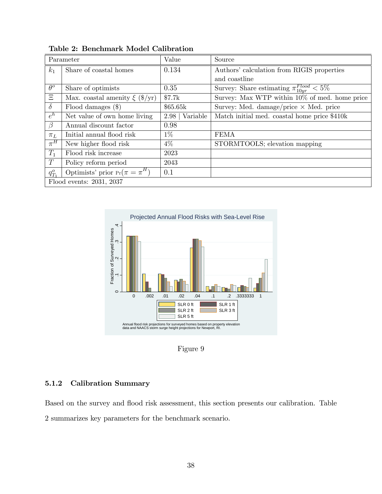|             | Parameter                          | Value            | Source                                              |
|-------------|------------------------------------|------------------|-----------------------------------------------------|
| $k_1$       | Share of coastal homes             | 0.134            | Authors' calculation from RIGIS properties          |
|             |                                    |                  | and coastline                                       |
| $\theta^o$  | Share of optimists                 | 0.35             | Survey: Share estimating $\pi_{10yr}^{Flood} < 5\%$ |
| $\Xi$       | Max. coastal amenity $\xi$ (\$/yr) | \$7.7k           | Survey: Max WTP within $10\%$ of med. home price    |
| $\delta$    | Flood damages $(\$)$               | \$65.65k         | Survey: Med. damage/price $\times$ Med. price       |
| $e^h$       | Net value of own home living       | 2.98<br>Variable | Match initial med. coastal home price \$410k        |
| $\beta$     | Annual discount factor             | 0.98             |                                                     |
| $\pi_L$     | Initial annual flood risk          | $1\%$            | <b>FEMA</b>                                         |
| $\pi^H$     | New higher flood risk              | $4\%$            | STORMTOOLS; elevation mapping                       |
| $T_1$       | Flood risk increase                | 2023             |                                                     |
| T           | Policy reform period               | 2043             |                                                     |
| $q_{T_1}^o$ | Optimists' prior $Pr(\pi = \pi^H)$ | 0.1              |                                                     |
|             | Flood events: 2031, 2037           |                  |                                                     |

Table 2: Benchmark Model Calibration



Figure 9

### 5.1.2 Calibration Summary

Based on the survey and flood risk assessment, this section presents our calibration. Table 2 summarizes key parameters for the benchmark scenario.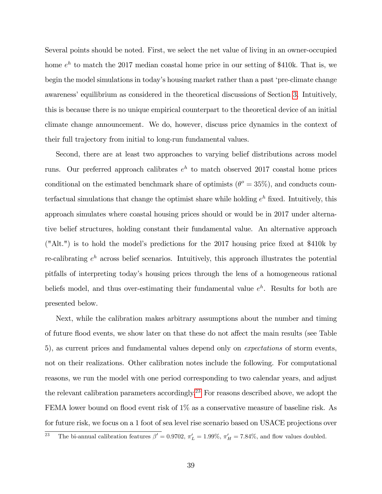Several points should be noted. First, we select the net value of living in an owner-occupied home  $e^{h}$  to match the 2017 median coastal home price in our setting of \$410k. That is, we begin the model simulations in today's housing market rather than a past 'pre-climate change awareness' equilibrium as considered in the theoretical discussions of Section [3](#page-10-0). Intuitively, this is because there is no unique empirical counterpart to the theoretical device of an initial climate change announcement. We do, however, discuss price dynamics in the context of their full trajectory from initial to long-run fundamental values.

Second, there are at least two approaches to varying belief distributions across model runs. Our preferred approach calibrates  $e^h$  to match observed 2017 coastal home prices conditional on the estimated benchmark share of optimists  $(\theta^{\circ} = 35\%)$ , and conducts counterfactual simulations that change the optimist share while holding  $e^{h}$  fixed. Intuitively, this approach simulates where coastal housing prices should or would be in 2017 under alternative belief structures, holding constant their fundamental value. An alternative approach  $("Alt.")$  is to hold the model's predictions for the 2017 housing price fixed at \$410k by re-calibrating  $e^h$  across belief scenarios. Intuitively, this approach illustrates the potential pitfalls of interpreting todayís housing prices through the lens of a homogeneous rational beliefs model, and thus over-estimating their fundamental value  $e^h$ . Results for both are presented below.

Next, while the calibration makes arbitrary assumptions about the number and timing of future flood events, we show later on that these do not affect the main results (see Table 5), as current prices and fundamental values depend only on expectations of storm events, not on their realizations. Other calibration notes include the following. For computational reasons, we run the model with one period corresponding to two calendar years, and adjust the relevant calibration parameters accordingly.[23](#page-38-0) For reasons described above, we adopt the FEMA lower bound on flood event risk of 1% as a conservative measure of baseline risk. As for future risk, we focus on a 1 foot of sea level rise scenario based on USACE projections over

<span id="page-38-0"></span><sup>&</sup>lt;sup>23</sup> The bi-annual calibration features  $\beta' = 0.9702$ ,  $\pi'_L = 1.99\%$ ,  $\pi'_H = 7.84\%$ , and flow values doubled.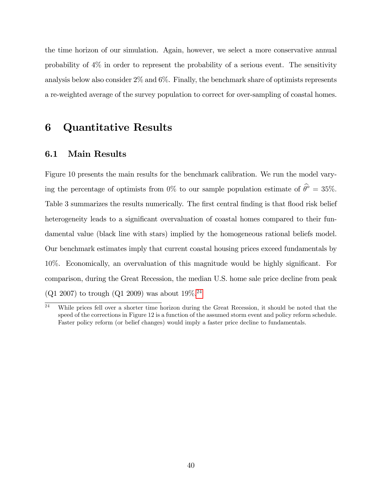the time horizon of our simulation. Again, however, we select a more conservative annual probability of 4% in order to represent the probability of a serious event. The sensitivity analysis below also consider 2% and 6%. Finally, the benchmark share of optimists represents a re-weighted average of the survey population to correct for over-sampling of coastal homes.

## 6 Quantitative Results

#### 6.1 Main Results

Figure 10 presents the main results for the benchmark calibration. We run the model varying the percentage of optimists from 0% to our sample population estimate of  $\hat{\theta}^{\circ} = 35\%$ . Table 3 summarizes the results numerically. The first central finding is that flood risk belief heterogeneity leads to a significant overvaluation of coastal homes compared to their fundamental value (black line with stars) implied by the homogeneous rational beliefs model. Our benchmark estimates imply that current coastal housing prices exceed fundamentals by 10%. Economically, an overvaluation of this magnitude would be highly significant. For comparison, during the Great Recession, the median U.S. home sale price decline from peak  $(Q1 2007)$  to trough  $(Q1 2009)$  was about  $19\%$ <sup>[24](#page-39-0)</sup>

<span id="page-39-0"></span> $\frac{24}{24}$  While prices fell over a shorter time horizon during the Great Recession, it should be noted that the speed of the corrections in Figure 12 is a function of the assumed storm event and policy reform schedule. Faster policy reform (or belief changes) would imply a faster price decline to fundamentals.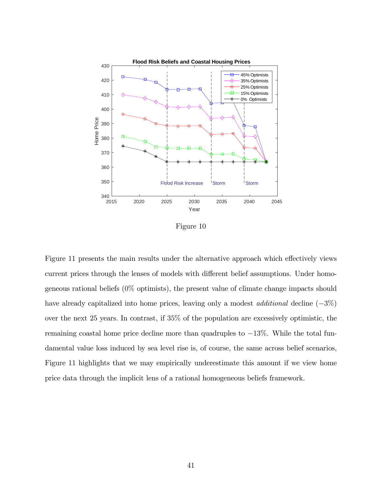

Figure 10

Figure 11 presents the main results under the alternative approach which effectively views current prices through the lenses of models with different belief assumptions. Under homogeneous rational beliefs (0% optimists), the present value of climate change impacts should have already capitalized into home prices, leaving only a modest *additional* decline  $(-3\%)$ over the next 25 years: In contrast, if 35% of the population are excessively optimistic, the remaining coastal home price decline more than quadruples to  $-13\%$ . While the total fundamental value loss induced by sea level rise is, of course, the same across belief scenarios, Figure 11 highlights that we may empirically underestimate this amount if we view home price data through the implicit lens of a rational homogeneous beliefs framework.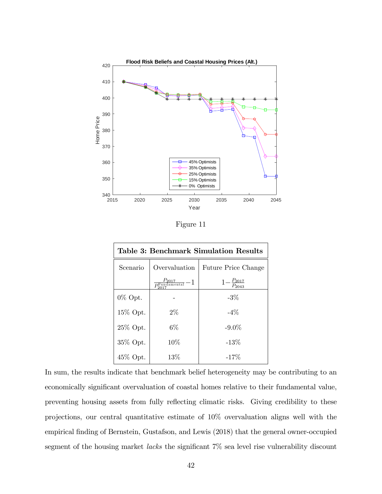

Figure 11

| Table 3: Benchmark Simulation Results |                                                      |                              |  |  |  |
|---------------------------------------|------------------------------------------------------|------------------------------|--|--|--|
| Scenario                              | Overvaluation                                        | <b>Future Price Change</b>   |  |  |  |
|                                       | $\frac{P_{2017}}{P_{2017}^{\mathrm{Fundamental}}}-1$ | $-\frac{P_{2017}}{P_{2043}}$ |  |  |  |
| $0\%$ Opt.                            |                                                      | $-3%$                        |  |  |  |
| 15% Opt.                              | $2\%$                                                | $-4\%$                       |  |  |  |
| 25% Opt.                              | $6\%$                                                | $-9.0\%$                     |  |  |  |
| 35% Opt.                              | 10%                                                  | $-13%$                       |  |  |  |
| 45% Opt.                              | 13%                                                  | $-17%$                       |  |  |  |

In sum, the results indicate that benchmark belief heterogeneity may be contributing to an economically significant overvaluation of coastal homes relative to their fundamental value, preventing housing assets from fully reflecting climatic risks. Giving credibility to these projections, our central quantitative estimate of 10% overvaluation aligns well with the empirical finding of Bernstein, Gustafson, and Lewis (2018) that the general owner-occupied segment of the housing market *lacks* the significant  $7\%$  sea level rise vulnerability discount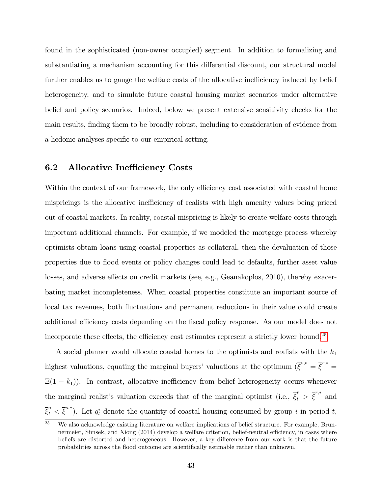found in the sophisticated (non-owner occupied) segment. In addition to formalizing and substantiating a mechanism accounting for this differential discount, our structural model further enables us to gauge the welfare costs of the allocative inefficiency induced by belief heterogeneity, and to simulate future coastal housing market scenarios under alternative belief and policy scenarios. Indeed, below we present extensive sensitivity checks for the main results, finding them to be broadly robust, including to consideration of evidence from a hedonic analyses specific to our empirical setting.

### 6.2 Allocative Inefficiency Costs

Within the context of our framework, the only efficiency cost associated with coastal home mispricings is the allocative inefficiency of realists with high amenity values being priced out of coastal markets. In reality, coastal mispricing is likely to create welfare costs through important additional channels. For example, if we modeled the mortgage process whereby optimists obtain loans using coastal properties as collateral, then the devaluation of those properties due to áood events or policy changes could lead to defaults, further asset value losses, and adverse effects on credit markets (see, e.g., Geanakoplos, 2010), thereby exacerbating market incompleteness. When coastal properties constitute an important source of local tax revenues, both fluctuations and permanent reductions in their value could create additional efficiency costs depending on the fiscal policy response. As our model does not incorporate these effects, the efficiency cost estimates represent a strictly lower bound.<sup>[25](#page-42-0)</sup>

A social planner would allocate coastal homes to the optimists and realists with the  $k_1$ highest valuations, equating the marginal buyers' valuations at the optimum  $({\bar{\xi}}^{o,*} = {\bar{\xi}}^{r,*} =$  $E(1 - k_1)$ ). In contrast, allocative inefficiency from belief heterogeneity occurs whenever the marginal realist's valuation exceeds that of the marginal optimist (i.e.,  $\bar{\xi}_t^r > \bar{\xi}^{r,*}$  and  $\overline{\xi}_t^o < \overline{\xi}^{o,*}$ ). Let  $q_t^i$  denote the quantity of coastal housing consumed by group i in period t,

<span id="page-42-0"></span>We also acknowledge existing literature on welfare implications of belief structure. For example, Brunnermeier, Simsek, and Xiong (2014) develop a welfare criterion, belief-neutral efficiency, in cases where beliefs are distorted and heterogeneous. However, a key difference from our work is that the future probabilities across the flood outcome are scientifically estimable rather than unknown.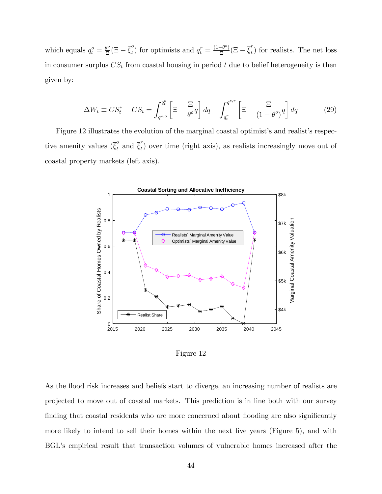which equals  $q_t^o = \frac{\theta^o}{\Xi}$  $\frac{\partial^o}{\partial \overline{z}}(\Xi-\overline{\xi}^o_t)$  $t<sup>o</sup>$ ) for optimists and  $q_t^r = \frac{(1-\theta^o)}{\Xi}$  $\frac{-\theta^o}{\Xi}(\Xi-\overline{\xi}_t^r)$  $t<sub>t</sub>$ ) for realists. The net loss in consumer surplus  $CS_t$  from coastal housing in period t due to belief heterogeneity is then given by:

<span id="page-43-0"></span>
$$
\Delta W_t \equiv CS_t^* - CS_t = \int_{q^{*,o}}^{q_t^o} \left[ \Xi - \frac{\Xi}{\theta^o} q \right] dq - \int_{q_t^r}^{q^{*,r}} \left[ \Xi - \frac{\Xi}{(1 - \theta^o)} q \right] dq \tag{29}
$$

Figure 12 illustrates the evolution of the marginal coastal optimist's and realist's respective amenity values  $(\bar{\xi}_t^o \text{ and } \bar{\xi}_t^r)$  $t<sub>t</sub>$ ) over time (right axis), as realists increasingly move out of coastal property markets (left axis).



Figure 12

As the flood risk increases and beliefs start to diverge, an increasing number of realists are projected to move out of coastal markets. This prediction is in line both with our survey finding that coastal residents who are more concerned about flooding are also significantly more likely to intend to sell their homes within the next five years (Figure 5), and with BGL's empirical result that transaction volumes of vulnerable homes increased after the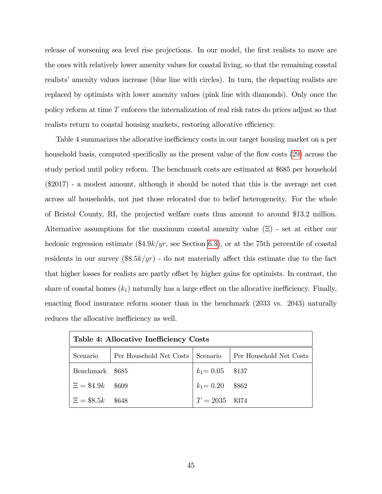release of worsening sea level rise projections. In our model, the first realists to move are the ones with relatively lower amenity values for coastal living, so that the remaining coastal realists' amenity values increase (blue line with circles). In turn, the departing realists are replaced by optimists with lower amenity values (pink line with diamonds). Only once the policy reform at time T enforces the internalization of real risk rates do prices adjust so that realists return to coastal housing markets, restoring allocative efficiency.

Table 4 summarizes the allocative inefficiency costs in our target housing market on a per household basis, computed specifically as the present value of the flow costs ([29](#page-43-0)) across the study period until policy reform. The benchmark costs are estimated at \$685 per household (\$2017) - a modest amount, although it should be noted that this is the average net cost across all households, not just those relocated due to belief heterogeneity. For the whole of Bristol County, RI, the projected welfare costs thus amount to around \$13.2 million. Alternative assumptions for the maximum coastal amenity value  $(\Xi)$  - set at either our hedonic regression estimate  $(\frac{4.9k}{yr}$ , see Section [6](#page-45-0).3), or at the 75th percentile of coastal residents in our survey  $(\frac{18.5k}{yr})$  - do not materially affect this estimate due to the fact that higher losses for realists are partly offset by higher gains for optimists. In contrast, the share of coastal homes  $(k_1)$  naturally has a large effect on the allocative inefficiency. Finally, enacting flood insurance reform sooner than in the benchmark (2033 vs. 2043) naturally reduces the allocative inefficiency as well.

| Table 4: Allocative Inefficiency Costs |                                    |                    |                         |  |  |  |
|----------------------------------------|------------------------------------|--------------------|-------------------------|--|--|--|
| Scenario                               | Per Household Net Costs   Scenario |                    | Per Household Net Costs |  |  |  |
| Benchmark \$685                        |                                    | $k_1 = 0.05$ \$137 |                         |  |  |  |
| $\Xi = \$4.9k$ \$609                   |                                    | $k_1 = 0.20$ \$862 |                         |  |  |  |
| $E = $8.5k$ \$648                      |                                    | $T = 2035$ \$374   |                         |  |  |  |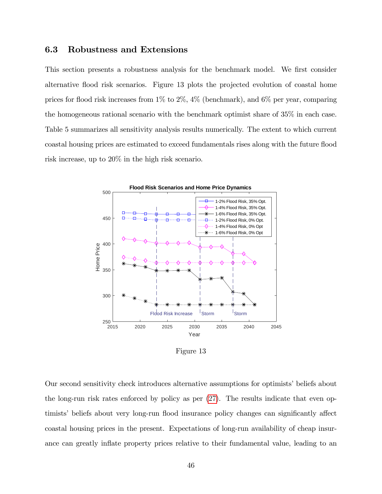#### <span id="page-45-0"></span>6.3 Robustness and Extensions

This section presents a robustness analysis for the benchmark model. We first consider alternative áood risk scenarios. Figure 13 plots the projected evolution of coastal home prices for flood risk increases from  $1\%$  to  $2\%$ ,  $4\%$  (benchmark), and  $6\%$  per year, comparing the homogeneous rational scenario with the benchmark optimist share of 35% in each case. Table 5 summarizes all sensitivity analysis results numerically. The extent to which current coastal housing prices are estimated to exceed fundamentals rises along with the future flood risk increase, up to 20% in the high risk scenario.



Figure 13

Our second sensitivity check introduces alternative assumptions for optimists' beliefs about the long-run risk rates enforced by policy as per ([27](#page-35-1)). The results indicate that even optimists' beliefs about very long-run flood insurance policy changes can significantly affect coastal housing prices in the present. Expectations of long-run availability of cheap insurance can greatly inflate property prices relative to their fundamental value, leading to an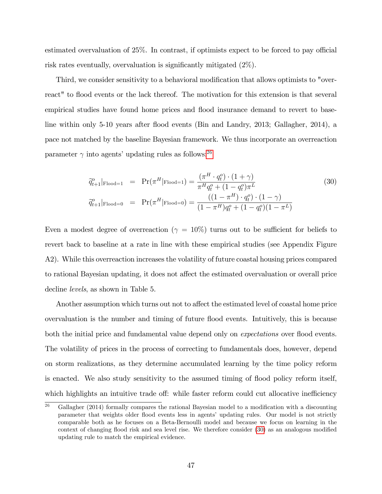estimated overvaluation of  $25\%$ . In contrast, if optimists expect to be forced to pay official risk rates eventually, overvaluation is significantly mitigated  $(2\%)$ .

Third, we consider sensitivity to a behavioral modification that allows optimists to "overreact" to flood events or the lack thereof. The motivation for this extension is that several empirical studies have found home prices and flood insurance demand to revert to baseline within only 5-10 years after flood events (Bin and Landry, 2013; Gallagher, 2014), a pace not matched by the baseline Bayesian framework. We thus incorporate an overreaction parameter  $\gamma$  into agents' updating rules as follows:<sup>[26](#page-46-0)</sup>

<span id="page-46-1"></span>
$$
\widetilde{q}_{t+1}^o|_{\text{Flood}=1} = \Pr(\pi^H|_{\text{Flood}=1}) = \frac{(\pi^H \cdot q_t^o) \cdot (1+\gamma)}{\pi^H q_t^o + (1-q_t^o)\pi^L}
$$
(30)  

$$
\widetilde{q}_{t+1}^o|_{\text{Flood}=0} = \Pr(\pi^H|_{\text{Flood}=0}) = \frac{((1-\pi^H) \cdot q_t^o) \cdot (1-\gamma)}{(1-\pi^H)q_t^o + (1-q_t^o)(1-\pi^L)}
$$

Even a modest degree of overreaction ( $\gamma = 10\%$ ) turns out to be sufficient for beliefs to revert back to baseline at a rate in line with these empirical studies (see Appendix Figure A2). While this overreaction increases the volatility of future coastal housing prices compared to rational Bayesian updating, it does not affect the estimated overvaluation or overall price decline levels, as shown in Table 5.

Another assumption which turns out not to affect the estimated level of coastal home price overvaluation is the number and timing of future flood events. Intuitively, this is because both the initial price and fundamental value depend only on *expectations* over flood events. The volatility of prices in the process of correcting to fundamentals does, however, depend on storm realizations, as they determine accumulated learning by the time policy reform is enacted. We also study sensitivity to the assumed timing of áood policy reform itself, which highlights an intuitive trade off: while faster reform could cut allocative inefficiency

<span id="page-46-0"></span><sup>&</sup>lt;sup>26</sup> Gallagher (2014) formally compares the rational Bayesian model to a modification with a discounting parameter that weights older flood events less in agents' updating rules. Our model is not strictly comparable both as he focuses on a Beta-Bernoulli model and because we focus on learning in the context of changing flood risk and sea level rise. We therefore consider  $(30)$  $(30)$  $(30)$  as an analogous modified updating rule to match the empirical evidence.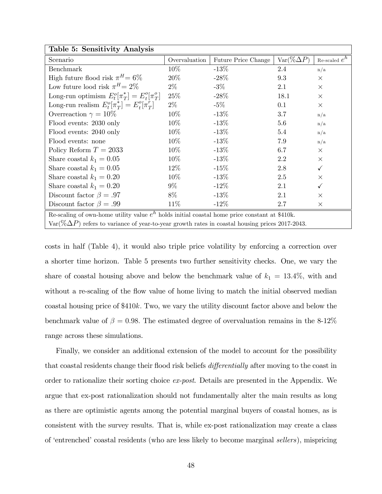| Table 5: Sensitivity Analysis                                                                           |               |                     |                   |                 |  |  |  |
|---------------------------------------------------------------------------------------------------------|---------------|---------------------|-------------------|-----------------|--|--|--|
| Scenario                                                                                                | Overvaluation | Future Price Change | $Var(\%\Delta P)$ | Re-scaled $e^h$ |  |  |  |
| Benchmark                                                                                               | 10%           | $-13\%$             | 2.4               | n/a             |  |  |  |
| High future flood risk $\pi^H = 6\%$                                                                    | 20%           | $-28%$              | 9.3               | $\times$        |  |  |  |
| Low future lood risk $\pi^H = 2\%$                                                                      | $2\%$         | $-3\%$              | 2.1               | $\times$        |  |  |  |
| Long-run optimism $E_t^o[\pi_T^*] = E_t^o[\pi_T^o]$                                                     | 25%           | $-28%$              | 18.1              | $\times$        |  |  |  |
| Long-run realism $E_t^o[\pi_T^*] = E_t^o[\pi_T^r]$                                                      | $2\%$         | $-5\%$              | 0.1               | $\times$        |  |  |  |
| Overreaction $\gamma = 10\%$                                                                            | $10\%$        | $-13%$              | 3.7               | n/a             |  |  |  |
| Flood events: 2030 only                                                                                 | $10\%$        | $-13%$              | 5.6               | n/a             |  |  |  |
| Flood events: 2040 only                                                                                 | $10\%$        | $-13%$              | 5.4               | n/a             |  |  |  |
| Flood events: none                                                                                      | $10\%$        | $-13%$              | 7.9               | n/a             |  |  |  |
| Policy Reform $T = 2033$                                                                                | $10\%$        | $-13%$              | 6.7               | $\times$        |  |  |  |
| Share coastal $k_1 = 0.05$                                                                              | $10\%$        | $-13%$              | 2.2               | $\times$        |  |  |  |
| Share coastal $k_1 = 0.05$                                                                              | $12\%$        | $-15%$              | 2.8               | $\checkmark$    |  |  |  |
| Share coastal $k_1 = 0.20$                                                                              | 10%           | $-13%$              | 2.5               | $\times$        |  |  |  |
| Share coastal $k_1 = 0.20$                                                                              | $9\%$         | $-12%$              | 2.1               | $\checkmark$    |  |  |  |
| Discount factor $\beta = .97$                                                                           | 8%            | $-13%$              | 2.1               | $\times$        |  |  |  |
| Discount factor $\beta = .99$                                                                           | 11\%          | $-12\%$             | 2.7               | $\times$        |  |  |  |
| Re-scaling of own-home utility value $e^{h}$ holds initial coastal home price constant at \$410k.       |               |                     |                   |                 |  |  |  |
| $Var(\% \Delta P)$ refers to variance of year-to-year growth rates in coastal housing prices 2017-2043. |               |                     |                   |                 |  |  |  |

costs in half (Table 4), it would also triple price volatility by enforcing a correction over a shorter time horizon. Table 5 presents two further sensitivity checks. One, we vary the share of coastal housing above and below the benchmark value of  $k_1 = 13.4\%$ , with and without a re-scaling of the flow value of home living to match the initial observed median coastal housing price of \$410k: Two, we vary the utility discount factor above and below the benchmark value of  $\beta = 0.98$ . The estimated degree of overvaluation remains in the 8-12% range across these simulations.

Finally, we consider an additional extension of the model to account for the possibility that coastal residents change their flood risk beliefs *differentially* after moving to the coast in order to rationalize their sorting choice ex-post. Details are presented in the Appendix. We argue that ex-post rationalization should not fundamentally alter the main results as long as there are optimistic agents among the potential marginal buyers of coastal homes, as is consistent with the survey results. That is, while ex-post rationalization may create a class of 'entrenched' coastal residents (who are less likely to become marginal sellers), mispricing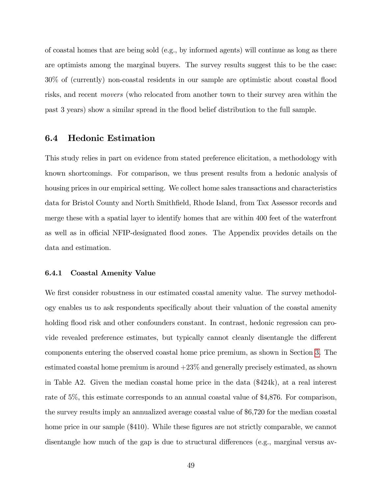of coastal homes that are being sold (e.g., by informed agents) will continue as long as there are optimists among the marginal buyers. The survey results suggest this to be the case: 30% of (currently) non-coastal residents in our sample are optimistic about coastal áood risks, and recent movers (who relocated from another town to their survey area within the past 3 years) show a similar spread in the áood belief distribution to the full sample.

### 6.4 Hedonic Estimation

This study relies in part on evidence from stated preference elicitation, a methodology with known shortcomings. For comparison, we thus present results from a hedonic analysis of housing prices in our empirical setting. We collect home sales transactions and characteristics data for Bristol County and North Smithfield, Rhode Island, from Tax Assessor records and merge these with a spatial layer to identify homes that are within 400 feet of the waterfront as well as in official NFIP-designated flood zones. The Appendix provides details on the data and estimation.

#### 6.4.1 Coastal Amenity Value

We first consider robustness in our estimated coastal amenity value. The survey methodology enables us to ask respondents speciÖcally about their valuation of the coastal amenity holding flood risk and other confounders constant. In contrast, hedonic regression can provide revealed preference estimates, but typically cannot cleanly disentangle the different components entering the observed coastal home price premium, as shown in Section [3](#page-10-0). The estimated coastal home premium is around  $+23\%$  and generally precisely estimated, as shown in Table A2. Given the median coastal home price in the data (\$424k), at a real interest rate of 5%, this estimate corresponds to an annual coastal value of \$4,876. For comparison, the survey results imply an annualized average coastal value of \$6,720 for the median coastal home price in our sample (\$410). While these figures are not strictly comparable, we cannot disentangle how much of the gap is due to structural differences (e.g., marginal versus av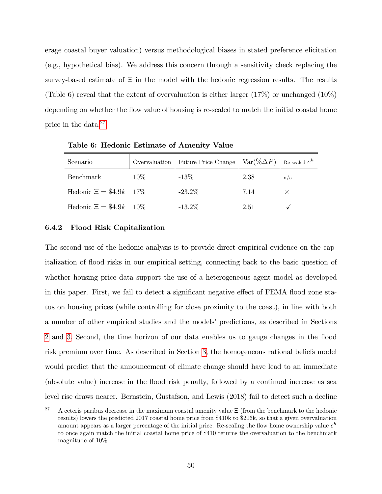erage coastal buyer valuation) versus methodological biases in stated preference elicitation (e.g., hypothetical bias). We address this concern through a sensitivity check replacing the survey-based estimate of  $\Xi$  in the model with the hedonic regression results. The results (Table 6) reveal that the extent of overvaluation is either larger  $(17\%)$  or unchanged  $(10\%)$ depending on whether the flow value of housing is re-scaled to match the initial coastal home price in the data.[27](#page-49-0)

| Table 6: Hedonic Estimate of Amenity Value |               |                     |                    |                 |  |  |
|--------------------------------------------|---------------|---------------------|--------------------|-----------------|--|--|
| Scenario                                   | Overvaluation | Future Price Change | $Var(\% \Delta P)$ | Re-scaled $e^h$ |  |  |
| <b>Benchmark</b>                           | $10\%$        | $-13\%$             | 2.38               | n/a             |  |  |
| Hedonic $\Xi = \$4.9k$ 17%                 |               | $-23.2\%$           | 7.14               | $\times$        |  |  |
| Hedonic $\Xi = \$4.9k$ 10%                 |               | $-13.2\%$           | 2.51               |                 |  |  |

#### 6.4.2 Flood Risk Capitalization

The second use of the hedonic analysis is to provide direct empirical evidence on the capitalization of flood risks in our empirical setting, connecting back to the basic question of whether housing price data support the use of a heterogeneous agent model as developed in this paper. First, we fail to detect a significant negative effect of FEMA flood zone status on housing prices (while controlling for close proximity to the coast), in line with both a number of other empirical studies and the models' predictions, as described in Sections [2](#page-4-0) and [3](#page-10-0): Second, the time horizon of our data enables us to gauge changes in the áood risk premium over time. As described in Section [3](#page-10-0); the homogeneous rational beliefs model would predict that the announcement of climate change should have lead to an immediate (absolute value) increase in the áood risk penalty, followed by a continual increase as sea level rise draws nearer. Bernstein, Gustafson, and Lewis (2018) fail to detect such a decline

<span id="page-49-0"></span> $\overline{27}$  A ceteris paribus decrease in the maximum coastal amenity value  $\Xi$  (from the benchmark to the hedonic results) lowers the predicted 2017 coastal home price from \$410k to \$206k, so that a given overvaluation amount appears as a larger percentage of the initial price. Re-scaling the flow home ownership value  $e^h$ to once again match the initial coastal home price of \$410 returns the overvaluation to the benchmark magnitude of 10%.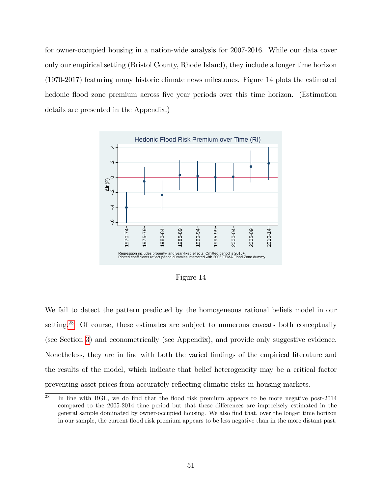for owner-occupied housing in a nation-wide analysis for 2007-2016. While our data cover only our empirical setting (Bristol County, Rhode Island), they include a longer time horizon (1970-2017) featuring many historic climate news milestones. Figure 14 plots the estimated hedonic flood zone premium across five year periods over this time horizon. (Estimation details are presented in the Appendix.)



Figure 14

We fail to detect the pattern predicted by the homogeneous rational beliefs model in our setting.<sup>[28](#page-50-0)</sup> Of course, these estimates are subject to numerous caveats both conceptually (see Section [3](#page-10-0)) and econometrically (see Appendix), and provide only suggestive evidence. Nonetheless, they are in line with both the varied Öndings of the empirical literature and the results of the model, which indicate that belief heterogeneity may be a critical factor preventing asset prices from accurately reáecting climatic risks in housing markets.

<span id="page-50-0"></span> $28$  In line with BGL, we do find that the flood risk premium appears to be more negative post-2014 compared to the 2005-2014 time period but that these differences are imprecisely estimated in the general sample dominated by owner-occupied housing. We also Önd that, over the longer time horizon in our sample, the current flood risk premium appears to be less negative than in the more distant past.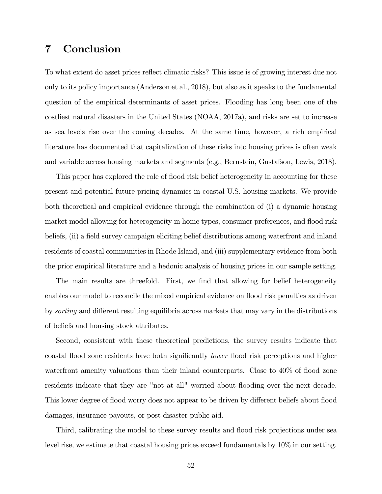## 7 Conclusion

To what extent do asset prices reflect climatic risks? This issue is of growing interest due not only to its policy importance (Anderson et al., 2018), but also as it speaks to the fundamental question of the empirical determinants of asset prices. Flooding has long been one of the costliest natural disasters in the United States (NOAA, 2017a), and risks are set to increase as sea levels rise over the coming decades. At the same time, however, a rich empirical literature has documented that capitalization of these risks into housing prices is often weak and variable across housing markets and segments (e.g., Bernstein, Gustafson, Lewis, 2018).

This paper has explored the role of flood risk belief heterogeneity in accounting for these present and potential future pricing dynamics in coastal U.S. housing markets. We provide both theoretical and empirical evidence through the combination of (i) a dynamic housing market model allowing for heterogeneity in home types, consumer preferences, and flood risk beliefs, (ii) a field survey campaign eliciting belief distributions among waterfront and inland residents of coastal communities in Rhode Island, and (iii) supplementary evidence from both the prior empirical literature and a hedonic analysis of housing prices in our sample setting.

The main results are threefold. First, we find that allowing for belief heterogeneity enables our model to reconcile the mixed empirical evidence on flood risk penalties as driven by *sorting* and different resulting equilibria across markets that may vary in the distributions of beliefs and housing stock attributes.

Second, consistent with these theoretical predictions, the survey results indicate that coastal flood zone residents have both significantly *lower* flood risk perceptions and higher waterfront amenity valuations than their inland counterparts. Close to 40% of flood zone residents indicate that they are "not at all" worried about flooding over the next decade. This lower degree of flood worry does not appear to be driven by different beliefs about flood damages, insurance payouts, or post disaster public aid.

Third, calibrating the model to these survey results and flood risk projections under sea level rise, we estimate that coastal housing prices exceed fundamentals by 10% in our setting.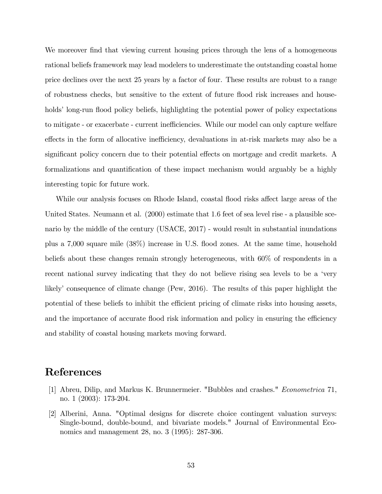We moreover find that viewing current housing prices through the lens of a homogeneous rational beliefs framework may lead modelers to underestimate the outstanding coastal home price declines over the next 25 years by a factor of four. These results are robust to a range of robustness checks, but sensitive to the extent of future áood risk increases and households' long-run flood policy beliefs, highlighting the potential power of policy expectations to mitigate - or exacerbate - current inefficiencies. While our model can only capture welfare effects in the form of allocative inefficiency, devaluations in at-risk markets may also be a significant policy concern due to their potential effects on mortgage and credit markets. A formalizations and quantification of these impact mechanism would arguably be a highly interesting topic for future work.

While our analysis focuses on Rhode Island, coastal flood risks affect large areas of the United States. Neumann et al. (2000) estimate that 1.6 feet of sea level rise - a plausible scenario by the middle of the century (USACE, 2017) - would result in substantial inundations plus a 7,000 square mile (38%) increase in U.S. áood zones. At the same time, household beliefs about these changes remain strongly heterogeneous, with 60% of respondents in a recent national survey indicating that they do not believe rising sea levels to be a 'very likely' consequence of climate change (Pew, 2016). The results of this paper highlight the potential of these beliefs to inhibit the efficient pricing of climate risks into housing assets, and the importance of accurate flood risk information and policy in ensuring the efficiency and stability of coastal housing markets moving forward.

## References

- [1] Abreu, Dilip, and Markus K. Brunnermeier. "Bubbles and crashes." Econometrica 71, no. 1 (2003): 173-204.
- [2] Alberini, Anna. "Optimal designs for discrete choice contingent valuation surveys: Single-bound, double-bound, and bivariate models." Journal of Environmental Economics and management 28, no. 3 (1995): 287-306.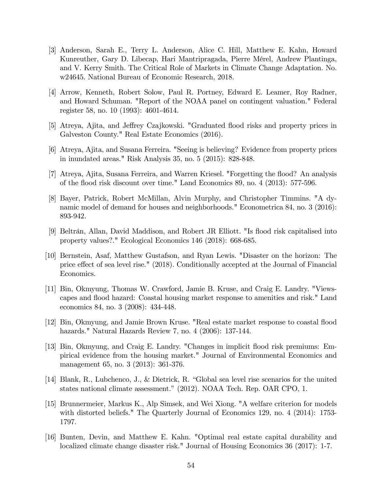- [3] Anderson, Sarah E., Terry L. Anderson, Alice C. Hill, Matthew E. Kahn, Howard Kunreuther, Gary D. Libecap, Hari Mantripragada, Pierre MÈrel, Andrew Plantinga, and V. Kerry Smith. The Critical Role of Markets in Climate Change Adaptation. No. w24645. National Bureau of Economic Research, 2018.
- [4] Arrow, Kenneth, Robert Solow, Paul R. Portney, Edward E. Leamer, Roy Radner, and Howard Schuman. "Report of the NOAA panel on contingent valuation." Federal register 58, no. 10 (1993): 4601-4614.
- [5] Atreya, Ajita, and Jeffrey Czajkowski. "Graduated flood risks and property prices in Galveston County." Real Estate Economics (2016).
- [6] Atreya, Ajita, and Susana Ferreira. "Seeing is believing? Evidence from property prices in inundated areas." Risk Analysis 35, no. 5 (2015): 828-848.
- [7] Atreya, Ajita, Susana Ferreira, and Warren Kriesel. "Forgetting the áood? An analysis of the flood risk discount over time." Land Economics 89, no.  $4$  (2013): 577-596.
- [8] Bayer, Patrick, Robert McMillan, Alvin Murphy, and Christopher Timmins. "A dynamic model of demand for houses and neighborhoods." Econometrica 84, no. 3 (2016): 893-942.
- [9] Beltrán, Allan, David Maddison, and Robert JR Elliott. "Is flood risk capitalised into property values?." Ecological Economics 146 (2018): 668-685.
- [10] Bernstein, Asaf, Matthew Gustafson, and Ryan Lewis. "Disaster on the horizon: The price effect of sea level rise."  $(2018)$ . Conditionally accepted at the Journal of Financial Economics.
- [11] Bin, Okmyung, Thomas W. Crawford, Jamie B. Kruse, and Craig E. Landry. "Viewscapes and flood hazard: Coastal housing market response to amenities and risk." Land economics 84, no. 3 (2008): 434-448.
- [12] Bin, Okmyung, and Jamie Brown Kruse. "Real estate market response to coastal áood hazards." Natural Hazards Review 7, no. 4 (2006): 137-144.
- [13] Bin, Okmyung, and Craig E. Landry. "Changes in implicit flood risk premiums: Empirical evidence from the housing market." Journal of Environmental Economics and management 65, no. 3 (2013): 361-376.
- [14] Blank, R., Lubchenco, J., & Dietrick, R. "Global sea level rise scenarios for the united states national climate assessment." (2012). NOAA Tech. Rep. OAR CPO, 1.
- [15] Brunnermeier, Markus K., Alp Simsek, and Wei Xiong. "A welfare criterion for models with distorted beliefs." The Quarterly Journal of Economics 129, no. 4 (2014): 1753- 1797.
- [16] Bunten, Devin, and Matthew E. Kahn. "Optimal real estate capital durability and localized climate change disaster risk." Journal of Housing Economics 36 (2017): 1-7.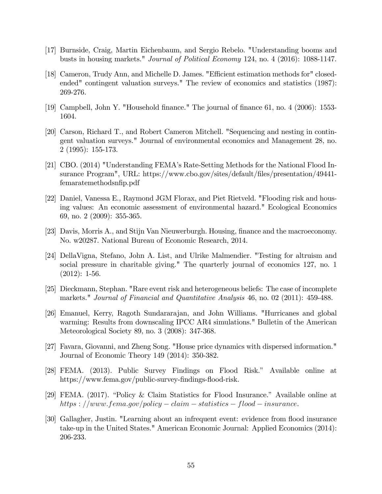- [17] Burnside, Craig, Martin Eichenbaum, and Sergio Rebelo. "Understanding booms and busts in housing markets." Journal of Political Economy 124, no. 4 (2016): 1088-1147.
- [18] Cameron, Trudy Ann, and Michelle D. James. "Efficient estimation methods for" closedended" contingent valuation surveys." The review of economics and statistics (1987): 269-276.
- [19] Campbell, John Y. "Household Önance." The journal of Önance 61, no. 4 (2006): 1553- 1604.
- [20] Carson, Richard T., and Robert Cameron Mitchell. "Sequencing and nesting in contingent valuation surveys." Journal of environmental economics and Management 28, no. 2 (1995): 155-173.
- [21] CBO. (2014) "Understanding FEMAís Rate-Setting Methods for the National Flood Insurance Program", URL: https://www.cbo.gov/sites/default/Öles/presentation/49441 femaratemethodsnfip.pdf
- [22] Daniel, Vanessa E., Raymond JGM Florax, and Piet Rietveld. "Flooding risk and housing values: An economic assessment of environmental hazard." Ecological Economics 69, no. 2 (2009): 355-365.
- [23] Davis, Morris A., and Stijn Van Nieuwerburgh. Housing, Önance and the macroeconomy. No. w20287. National Bureau of Economic Research, 2014.
- [24] DellaVigna, Stefano, John A. List, and Ulrike Malmendier. "Testing for altruism and social pressure in charitable giving." The quarterly journal of economics 127, no. 1  $(2012): 1-56.$
- [25] Dieckmann, Stephan. "Rare event risk and heterogeneous beliefs: The case of incomplete markets." Journal of Financial and Quantitative Analysis 46, no. 02 (2011): 459-488.
- [26] Emanuel, Kerry, Ragoth Sundararajan, and John Williams. "Hurricanes and global warming: Results from downscaling IPCC AR4 simulations." Bulletin of the American Meteorological Society 89, no. 3 (2008): 347-368.
- [27] Favara, Giovanni, and Zheng Song. "House price dynamics with dispersed information." Journal of Economic Theory 149 (2014): 350-382.
- [28] FEMA. (2013). Public Survey Findings on Flood Risk." Available online at https://www.fema.gov/public-survey-findings-flood-risk.
- [29] FEMA. (2017). "Policy & Claim Statistics for Flood Insurance." Available online at https :  $//www.fema.gov/policy - claim - statistics - flood - insurance.$
- [30] Gallagher, Justin. "Learning about an infrequent event: evidence from áood insurance take-up in the United States." American Economic Journal: Applied Economics (2014): 206-233.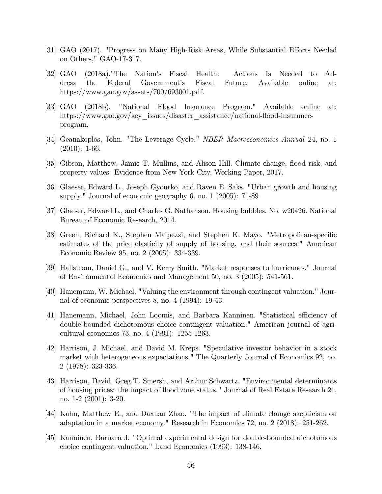- [31] GAO (2017). "Progress on Many High-Risk Areas, While Substantial Efforts Needed on Others," GAO-17-317.
- [32] GAO (2018a)."The Nationís Fiscal Health: Actions Is Needed to Address the Federal Governmentís Fiscal Future. Available online at: https://www.gao.gov/assets/700/693001.pdf.
- [33] GAO (2018b). "National Flood Insurance Program." Available online at: https://www.gao.gov/key\_issues/disaster\_assistance/national-flood-insuranceprogram.
- [34] Geanakoplos, John. "The Leverage Cycle." NBER Macroeconomics Annual 24, no. 1  $(2010): 1-66.$
- [35] Gibson, Matthew, Jamie T. Mullins, and Alison Hill. Climate change, flood risk, and property values: Evidence from New York City. Working Paper, 2017.
- [36] Glaeser, Edward L., Joseph Gyourko, and Raven E. Saks. "Urban growth and housing supply." Journal of economic geography 6, no. 1 (2005): 71-89
- [37] Glaeser, Edward L., and Charles G. Nathanson. Housing bubbles. No. w20426. National Bureau of Economic Research, 2014.
- [38] Green, Richard K., Stephen Malpezzi, and Stephen K. Mayo. "Metropolitan-specific estimates of the price elasticity of supply of housing, and their sources." American Economic Review 95, no. 2 (2005): 334-339.
- [39] Hallstrom, Daniel G., and V. Kerry Smith. "Market responses to hurricanes." Journal of Environmental Economics and Management 50, no. 3 (2005): 541-561.
- [40] Hanemann, W. Michael. "Valuing the environment through contingent valuation." Journal of economic perspectives 8, no. 4 (1994): 19-43.
- [41] Hanemann, Michael, John Loomis, and Barbara Kanninen. "Statistical efficiency of double-bounded dichotomous choice contingent valuation." American journal of agricultural economics 73, no. 4 (1991): 1255-1263.
- [42] Harrison, J. Michael, and David M. Kreps. "Speculative investor behavior in a stock market with heterogeneous expectations." The Quarterly Journal of Economics 92, no. 2 (1978): 323-336.
- [43] Harrison, David, Greg T. Smersh, and Arthur Schwartz. "Environmental determinants of housing prices: the impact of áood zone status." Journal of Real Estate Research 21, no. 1-2 (2001): 3-20.
- [44] Kahn, Matthew E., and Daxuan Zhao. "The impact of climate change skepticism on adaptation in a market economy." Research in Economics 72, no. 2 (2018): 251-262.
- [45] Kanninen, Barbara J. "Optimal experimental design for double-bounded dichotomous choice contingent valuation." Land Economics (1993): 138-146.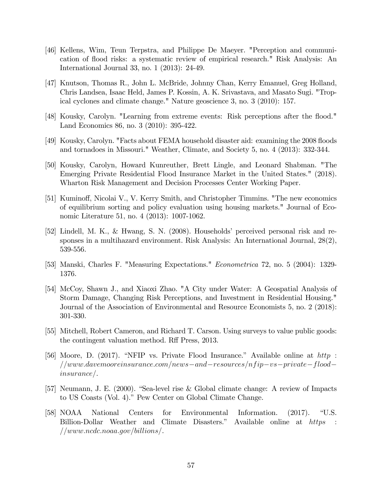- [46] Kellens, Wim, Teun Terpstra, and Philippe De Maeyer. "Perception and communication of flood risks: a systematic review of empirical research." Risk Analysis: An International Journal 33, no. 1 (2013): 24-49.
- [47] Knutson, Thomas R., John L. McBride, Johnny Chan, Kerry Emanuel, Greg Holland, Chris Landsea, Isaac Held, James P. Kossin, A. K. Srivastava, and Masato Sugi. "Tropical cyclones and climate change." Nature geoscience 3, no. 3 (2010): 157.
- [48] Kousky, Carolyn. "Learning from extreme events: Risk perceptions after the flood." Land Economics 86, no. 3 (2010): 395-422.
- [49] Kousky, Carolyn. "Facts about FEMA household disaster aid: examining the 2008 floods and tornadoes in Missouri." Weather, Climate, and Society 5, no. 4 (2013): 332-344.
- [50] Kousky, Carolyn, Howard Kunreuther, Brett Lingle, and Leonard Shabman. "The Emerging Private Residential Flood Insurance Market in the United States." (2018). Wharton Risk Management and Decision Processes Center Working Paper.
- [51] Kuminoff, Nicolai V., V. Kerry Smith, and Christopher Timmins. "The new economics of equilibrium sorting and policy evaluation using housing markets." Journal of Economic Literature 51, no. 4 (2013): 1007-1062.
- [52] Lindell, M. K., & Hwang, S. N. (2008). Householdsí perceived personal risk and responses in a multihazard environment. Risk Analysis: An International Journal, 28(2), 539-556.
- [53] Manski, Charles F. "Measuring Expectations." Econometrica 72, no. 5 (2004): 1329- 1376.
- [54] McCoy, Shawn J., and Xiaoxi Zhao. "A City under Water: A Geospatial Analysis of Storm Damage, Changing Risk Perceptions, and Investment in Residential Housing." Journal of the Association of Environmental and Resource Economists 5, no. 2 (2018): 301-330.
- [55] Mitchell, Robert Cameron, and Richard T. Carson. Using surveys to value public goods: the contingent valuation method. Ref Press, 2013.
- [56] Moore, D. (2017). "NFIP vs. Private Flood Insurance." Available online at  $http$ :  $1/www.davemooreinsurance.com/news-and-resources/nfip-us-private-flood$  $insure$ .
- [57] Neumann, J. E. (2000). "Sea-level rise & Global climate change: A review of Impacts to US Coasts (Vol. 4)." Pew Center on Global Climate Change.
- [58] NOAA National Centers for Environmental Information. (2017). "U.S. Billion-Dollar Weather and Climate Disasters." Available online at https :  $//www.ncdc.noaa.gov/billions/$ .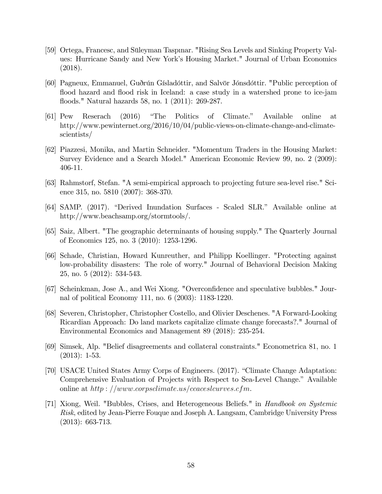- [59] Ortega, Francesc, and Süleyman Taspınar. "Rising Sea Levels and Sinking Property Values: Hurricane Sandy and New Yorkís Housing Market." Journal of Urban Economics (2018).
- [60] Pagneux, Emmanuel, Guðrún Gísladóttir, and Salvör Jónsdóttir. "Public perception of flood hazard and flood risk in Iceland: a case study in a watershed prone to ice-jam áoods." Natural hazards 58, no. 1 (2011): 269-287.
- [61] Pew Reserach (2016) "The Politics of Climate." Available online at http://www.pewinternet.org/2016/10/04/public-views-on-climate-change-and-climatescientists/
- [62] Piazzesi, Monika, and Martin Schneider. "Momentum Traders in the Housing Market: Survey Evidence and a Search Model." American Economic Review 99, no. 2 (2009): 406-11.
- [63] Rahmstorf, Stefan. "A semi-empirical approach to projecting future sea-level rise." Science 315, no. 5810 (2007): 368-370.
- [64] SAMP. (2017). "Derived Inundation Surfaces Scaled SLR." Available online at http://www.beachsamp.org/stormtools/.
- [65] Saiz, Albert. "The geographic determinants of housing supply." The Quarterly Journal of Economics 125, no. 3 (2010): 1253-1296.
- [66] Schade, Christian, Howard Kunreuther, and Philipp Koellinger. "Protecting against low-probability disasters: The role of worry." Journal of Behavioral Decision Making 25, no. 5 (2012): 534-543.
- [67] Scheinkman, Jose A., and Wei Xiong. "Overconfidence and speculative bubbles." Journal of political Economy 111, no. 6 (2003): 1183-1220.
- [68] Severen, Christopher, Christopher Costello, and Olivier Deschenes. "A Forward-Looking Ricardian Approach: Do land markets capitalize climate change forecasts?." Journal of Environmental Economics and Management 89 (2018): 235-254.
- [69] Simsek, Alp. "Belief disagreements and collateral constraints." Econometrica 81, no. 1 (2013): 1-53.
- [70] USACE United States Army Corps of Engineers. (2017). "Climate Change Adaptation: Comprehensive Evaluation of Projects with Respect to Sea-Level Change." Available online at  $http://www.corpsclimate.us/ccaceslcurves.cfm.$
- [71] Xiong, Weil. "Bubbles, Crises, and Heterogeneous Beliefs." in Handbook on Systemic Risk, edited by Jean-Pierre Fouque and Joseph A. Langsam, Cambridge University Press (2013): 663-713.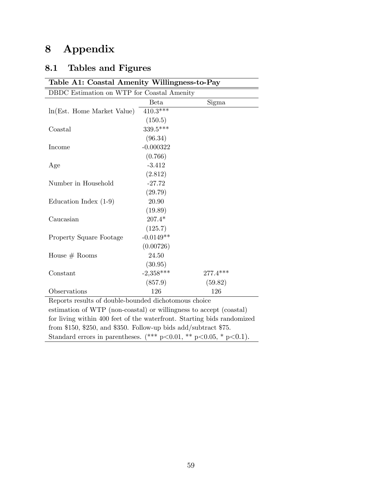# 8 Appendix

# 8.1 Tables and Figures

| Table A1: Coastal Amenity Willingness-to-Pay                           |             |          |  |  |  |
|------------------------------------------------------------------------|-------------|----------|--|--|--|
| DBDC Estimation on WTP for Coastal Amenity                             |             |          |  |  |  |
|                                                                        | <b>Beta</b> | Sigma    |  |  |  |
| ln(Est. Home Market Value)                                             | $410.3***$  |          |  |  |  |
|                                                                        | (150.5)     |          |  |  |  |
| Coastal                                                                | 339.5***    |          |  |  |  |
|                                                                        | (96.34)     |          |  |  |  |
| Income                                                                 | $-0.000322$ |          |  |  |  |
|                                                                        | (0.766)     |          |  |  |  |
| Age                                                                    | $-3.412$    |          |  |  |  |
|                                                                        | (2.812)     |          |  |  |  |
| Number in Household                                                    | $-27.72$    |          |  |  |  |
|                                                                        | (29.79)     |          |  |  |  |
| Education Index $(1-9)$                                                | 20.90       |          |  |  |  |
|                                                                        | (19.89)     |          |  |  |  |
| Caucasian                                                              | $207.4*$    |          |  |  |  |
|                                                                        | (125.7)     |          |  |  |  |
| <b>Property Square Footage</b>                                         | $-0.0149**$ |          |  |  |  |
|                                                                        | (0.00726)   |          |  |  |  |
| House $#$ Rooms                                                        | 24.50       |          |  |  |  |
|                                                                        | (30.95)     |          |  |  |  |
| Constant                                                               | $-2,358***$ | 277.4*** |  |  |  |
|                                                                        | (857.9)     | (59.82)  |  |  |  |
| Observations                                                           | 126         | 126      |  |  |  |
| Reports results of double-bounded dichotomous choice                   |             |          |  |  |  |
| estimation of WTP (non-coastal) or willingness to accept (coastal)     |             |          |  |  |  |
| for living within 400 feet of the waterfront. Starting bids randomized |             |          |  |  |  |
| from \$150, \$250, and \$350. Follow-up bids add/subtract \$75.        |             |          |  |  |  |

Standard errors in parentheses.  $(*** p<0.01, ** p<0.05, * p<0.1)$ .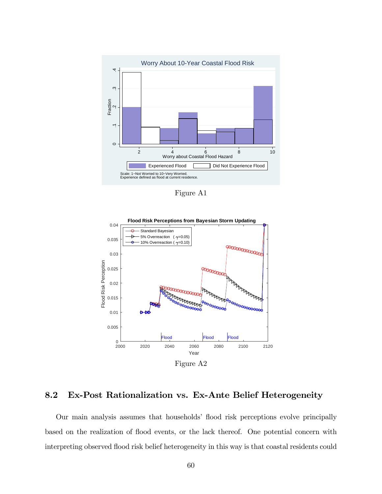

Figure A1



### 8.2 Ex-Post Rationalization vs. Ex-Ante Belief Heterogeneity

Our main analysis assumes that households' flood risk perceptions evolve principally based on the realization of flood events, or the lack thereof. One potential concern with interpreting observed flood risk belief heterogeneity in this way is that coastal residents could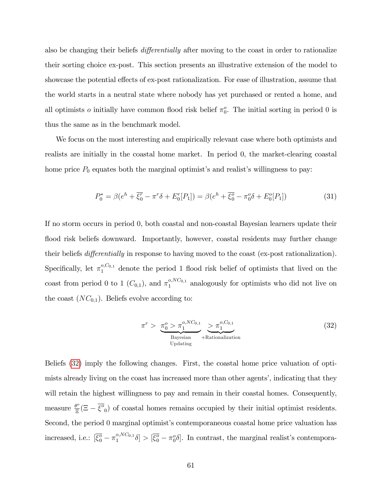also be changing their beliefs *differentially* after moving to the coast in order to rationalize their sorting choice ex-post. This section presents an illustrative extension of the model to showcase the potential effects of ex-post rationalization. For ease of illustration, assume that the world starts in a neutral state where nobody has yet purchased or rented a home, and all optimists *o* initially have common flood risk belief  $\pi_0^o$ . The initial sorting in period 0 is thus the same as in the benchmark model.

We focus on the most interesting and empirically relevant case where both optimists and realists are initially in the coastal home market. In period 0, the market-clearing coastal home price  $P_0$  equates both the marginal optimist's and realist's willingness to pay:

$$
P_0^* = \beta(e^h + \overline{\xi_0^r} - \pi^r \delta + E_0^r[P_1]) = \beta(e^h + \overline{\xi_0^o} - \pi_0^o \delta + E_0^o[P_1])
$$
\n(31)

If no storm occurs in period 0, both coastal and non-coastal Bayesian learners update their flood risk beliefs downward. Importantly, however, coastal residents may further change their beliefs *differentially* in response to having moved to the coast (ex-post rationalization). Specifically, let  $\pi_1^{\circ, C_{0,1}}$  denote the period 1 flood risk belief of optimists that lived on the coast from period 0 to 1  $(C_{0,1})$ , and  $\pi_1^{o, NC_{0,1}}$  analogously for optimists who did not live on the coast  $(NC_{0,1})$ . Beliefs evolve according to:

<span id="page-60-0"></span>
$$
\pi^r > \underbrace{\pi_0^o > \pi_1^{o, NC_{0,1}}}_{\text{Bayesian}} \underbrace{> \pi_1^{o, C_{0,1}}}_{\text{Equation}} \tag{32}
$$

Beliefs ([32](#page-60-0)) imply the following changes. First, the coastal home price valuation of optimists already living on the coast has increased more than other agents', indicating that they will retain the highest willingness to pay and remain in their coastal homes. Consequently, measure  $\frac{\theta^o}{\Xi}$  $\frac{\partial^{\circ}}{\partial \overline{z}}(\Xi - \overline{\xi^{\circ}}_0)$  of coastal homes remains occupied by their initial optimist residents. Second, the period 0 marginal optimist's contemporaneous coastal home price valuation has increased, i.e.:  $[\bar{\xi}_0^{\sigma} - \pi_1^{o, NC_{0,1}}]$  $\left[\frac{\partial N C_{0,1}}{\partial S}\right] > \left[\overline{\xi_0^o} - \pi_0^o \delta\right]$ . In contrast, the marginal realist's contempora-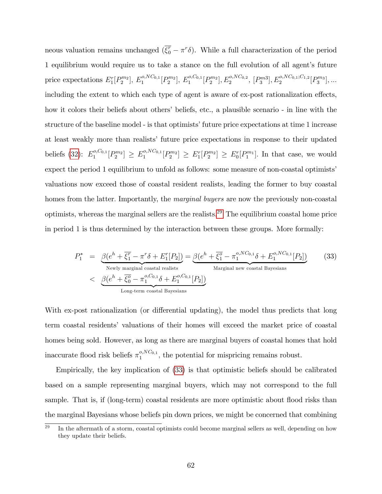neous valuation remains unchanged  $(\overline{\xi_0} - \pi^r \delta)$ . While a full characterization of the period 1 equilibrium would require us to take a stance on the full evolution of all agent's future price expectations  $E_1^r[P_2^{m_2}], E_1^{o, NC_{0,1}}[P_2^{m_2}], E_1^{o, C_{0,1}}[P_2^{m_2}], E_2^{o, NC_{0,2}}, [P_3^{m_3}], E_2^{o, NC_{0,1};C_{1,2}}[P_3^{m_3}],...$ including the extent to which each type of agent is aware of ex-post rationalization effects, how it colors their beliefs about others' beliefs, etc., a plausible scenario - in line with the structure of the baseline model - is that optimists' future price expectations at time 1 increase at least weakly more than realists' future price expectations in response to their updated beliefs ([32](#page-60-0)):  $E_1^{o, C_{0,1}}$  $\binom{P_0, C_{0,1}}{P_1}[P_2^{m_2}] \geq E_1^{o, NC_{0,1}}$  $\binom{p_1}{1} P_2^{m_1} \geq E_1^r[P_2^{m_2}] \geq E_0^r[P_1^{m_1}]$ . In that case, we would expect the period 1 equilibrium to unfold as follows: some measure of non-coastal optimists' valuations now exceed those of coastal resident realists, leading the former to buy coastal homes from the latter. Importantly, the *marginal buyers* are now the previously non-coastal optimists, whereas the marginal sellers are the realists.[29](#page-61-0) The equilibrium coastal home price in period 1 is thus determined by the interaction between these groups. More formally:

<span id="page-61-1"></span>
$$
P_1^* = \underbrace{\beta(e^h + \overline{\xi_1^r} - \pi^r \delta + E_1^r[P_2])}_{\text{Newly marginal coastal realists}} = \underbrace{\beta(e^h + \overline{\xi_1^o} - \pi_1^{o, NC_{0,1}} \delta + E_1^{o, NC_{0,1}}[P_2])}_{\text{Marginal new coastal Bayesian}} \tag{33}
$$
\n
$$
<\underbrace{\beta(e^h + \overline{\xi_0^o} - \pi_1^{o, Co, 1} \delta + E_1^{o, Co, 1}[P_2])}_{\text{Long-term coastal Bayesians}}
$$

With ex-post rationalization (or differential updating), the model thus predicts that long term coastal residentsí valuations of their homes will exceed the market price of coastal homes being sold. However, as long as there are marginal buyers of coastal homes that hold inaccurate flood risk beliefs  $\pi_1^{o, NC_{0,1}}$  $i_1^{0,N\text{C}_{0,1}}$ , the potential for mispricing remains robust.

Empirically, the key implication of ([33](#page-61-1)) is that optimistic beliefs should be calibrated based on a sample representing marginal buyers, which may not correspond to the full sample. That is, if (long-term) coastal residents are more optimistic about flood risks than the marginal Bayesians whose beliefs pin down prices, we might be concerned that combining

<span id="page-61-0"></span> $^{29}$  In the aftermath of a storm, coastal optimists could become marginal sellers as well, depending on how they update their beliefs.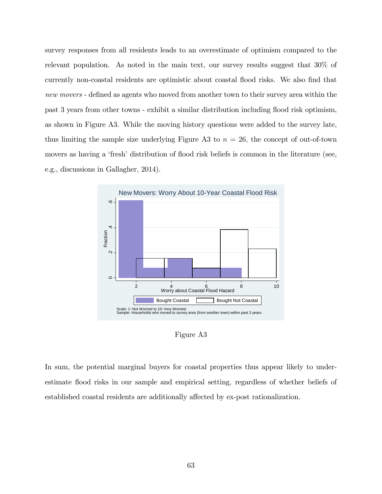survey responses from all residents leads to an overestimate of optimism compared to the relevant population. As noted in the main text, our survey results suggest that 30% of currently non-coastal residents are optimistic about coastal flood risks. We also find that new movers - defined as agents who moved from another town to their survey area within the past 3 years from other towns - exhibit a similar distribution including flood risk optimism, as shown in Figure A3. While the moving history questions were added to the survey late, thus limiting the sample size underlying Figure A3 to  $n = 26$ , the concept of out-of-town movers as having a 'fresh' distribution of flood risk beliefs is common in the literature (see, e.g., discussions in Gallagher, 2014).



Figure A3

In sum, the potential marginal buyers for coastal properties thus appear likely to underestimate áood risks in our sample and empirical setting, regardless of whether beliefs of established coastal residents are additionally affected by ex-post rationalization.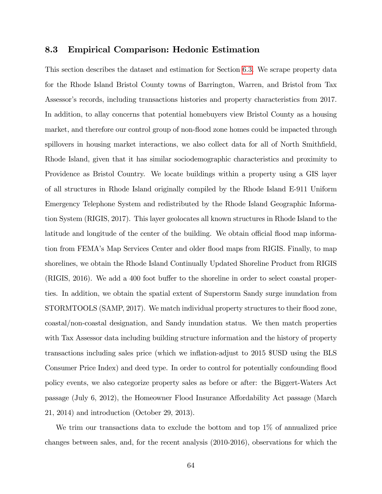#### 8.3 Empirical Comparison: Hedonic Estimation

This section describes the dataset and estimation for Section [6](#page-45-0):3. We scrape property data for the Rhode Island Bristol County towns of Barrington, Warren, and Bristol from Tax Assessor's records, including transactions histories and property characteristics from 2017. In addition, to allay concerns that potential homebuyers view Bristol County as a housing market, and therefore our control group of non-flood zone homes could be impacted through spillovers in housing market interactions, we also collect data for all of North Smithfield, Rhode Island, given that it has similar sociodemographic characteristics and proximity to Providence as Bristol Country. We locate buildings within a property using a GIS layer of all structures in Rhode Island originally compiled by the Rhode Island E-911 Uniform Emergency Telephone System and redistributed by the Rhode Island Geographic Information System (RIGIS, 2017). This layer geolocates all known structures in Rhode Island to the latitude and longitude of the center of the building. We obtain official flood map information from FEMA's Map Services Center and older flood maps from RIGIS. Finally, to map shorelines, we obtain the Rhode Island Continually Updated Shoreline Product from RIGIS  $(RIGIS, 2016)$ . We add a 400 foot buffer to the shoreline in order to select coastal properties. In addition, we obtain the spatial extent of Superstorm Sandy surge inundation from STORMTOOLS (SAMP, 2017). We match individual property structures to their flood zone, coastal/non-coastal designation, and Sandy inundation status. We then match properties with Tax Assessor data including building structure information and the history of property transactions including sales price (which we ináation-adjust to 2015 \$USD using the BLS Consumer Price Index) and deed type. In order to control for potentially confounding áood policy events, we also categorize property sales as before or after: the Biggert-Waters Act passage (July 6, 2012), the Homeowner Flood Insurance Affordability Act passage (March 21, 2014) and introduction (October 29, 2013).

We trim our transactions data to exclude the bottom and top 1% of annualized price changes between sales, and, for the recent analysis (2010-2016), observations for which the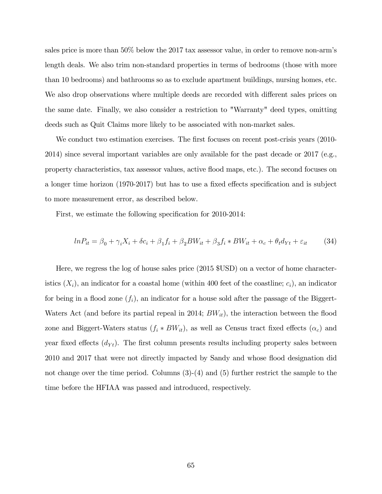sales price is more than 50% below the 2017 tax assessor value, in order to remove non-armís length deals. We also trim non-standard properties in terms of bedrooms (those with more than 10 bedrooms) and bathrooms so as to exclude apartment buildings, nursing homes, etc. We also drop observations where multiple deeds are recorded with different sales prices on the same date. Finally, we also consider a restriction to "Warranty" deed types, omitting deeds such as Quit Claims more likely to be associated with non-market sales.

We conduct two estimation exercises. The first focuses on recent post-crisis years (2010-2014) since several important variables are only available for the past decade or 2017 (e.g., property characteristics, tax assessor values, active áood maps, etc.). The second focuses on a longer time horizon (1970-2017) but has to use a fixed effects specification and is subject to more measurement error, as described below.

First, we estimate the following specification for 2010-2014:

<span id="page-64-0"></span>
$$
ln P_{it} = \beta_0 + \gamma_i X_i + \delta c_i + \beta_1 f_i + \beta_2 BW_{it} + \beta_3 f_i * BW_{it} + \alpha_c + \theta_t d_{Yt} + \varepsilon_{it}
$$
(34)

Here, we regress the log of house sales price (2015 \$USD) on a vector of home characteristics  $(X_i)$ , an indicator for a coastal home (within 400 feet of the coastline;  $c_i$ ), an indicator for being in a flood zone  $(f_i)$ , an indicator for a house sold after the passage of the Biggert-Waters Act (and before its partial repeal in 2014;  $BW_{it}$ ), the interaction between the flood zone and Biggert-Waters status  $(f_i * BW_{it})$ , as well as Census tract fixed effects  $(\alpha_c)$  and year fixed effects  $(d_{Yt})$ . The first column presents results including property sales between 2010 and 2017 that were not directly impacted by Sandy and whose flood designation did not change over the time period. Columns  $(3)-(4)$  and  $(5)$  further restrict the sample to the time before the HFIAA was passed and introduced, respectively.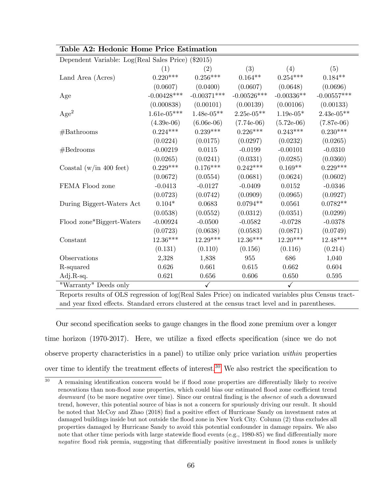|                                                    | Table A2: Hedonic Home Price Estimation |               |                        |              |               |  |  |
|----------------------------------------------------|-----------------------------------------|---------------|------------------------|--------------|---------------|--|--|
| Dependent Variable: Log(Real Sales Price) (\$2015) |                                         |               |                        |              |               |  |  |
|                                                    | (1)                                     | (2)           | (3)                    | (4)          | (5)           |  |  |
| Land Area (Acres)                                  | $0.220***$                              | $0.256***$    | $0.164**$              | $0.254***$   | $0.184**$     |  |  |
|                                                    | (0.0607)                                | (0.0400)      | (0.0607)               | (0.0648)     | (0.0696)      |  |  |
| Age                                                | $-0.00428***$                           | $-0.00371***$ | $-0.00526***$          | $-0.00336**$ | $-0.00557***$ |  |  |
|                                                    | (0.000838)                              | (0.00101)     | (0.00139)              | (0.00106)    | (0.00133)     |  |  |
| Age <sup>2</sup>                                   | $1.61e-05***$                           | $1.48e-05**$  | $2.25e-05**$           | $1.19e-05*$  | $2.43e-05**$  |  |  |
|                                                    | $(4.39e-06)$                            | $(6.06e-06)$  | $(7.74e-06)$           | $(5.72e-06)$ | $(7.87e-06)$  |  |  |
| #Bathrooms                                         | $0.224***$                              | $0.239***$    | $0.226***$             | $0.243***$   | $0.230***$    |  |  |
|                                                    | (0.0224)                                | (0.0175)      | (0.0297)               | (0.0232)     | (0.0265)      |  |  |
| #Bedrooms                                          | $-0.00219$                              | $0.0115\,$    | $-0.0199$              | $-0.00101$   | $-0.0310$     |  |  |
|                                                    | (0.0265)                                | (0.0241)      | (0.0331)               | (0.0285)     | (0.0360)      |  |  |
| Coastal (w/in 400 feet)                            | $0.229***$                              | $0.176***$    | $0.242***$             | $0.169**$    | $0.229***$    |  |  |
|                                                    | (0.0672)                                | (0.0554)      | (0.0681)               | (0.0624)     | (0.0602)      |  |  |
| FEMA Flood zone                                    | $-0.0413$                               | $-0.0127$     | $-0.0409$              | 0.0152       | $-0.0346$     |  |  |
|                                                    | (0.0723)                                | (0.0742)      | (0.0909)               | (0.0965)     | (0.0927)      |  |  |
| During Biggert-Waters Act                          | $0.104*$                                | 0.0683        | $0.0794**$             | 0.0561       | $0.0782**$    |  |  |
|                                                    | (0.0538)                                | (0.0552)      | (0.0312)               | (0.0351)     | (0.0299)      |  |  |
| Flood zone*Biggert-Waters                          | $-0.00924$                              | $-0.0500$     | $-0.0582$              | $-0.0728$    | $-0.0378$     |  |  |
|                                                    | (0.0723)                                | (0.0638)      | (0.0583)               | (0.0871)     | (0.0749)      |  |  |
| Constant                                           | 12.36***                                | $12.29***$    | $12.36^{\ast\ast\ast}$ | $12.20***$   | $12.48***$    |  |  |
|                                                    | (0.131)                                 | (0.110)       | (0.156)                | (0.116)      | (0.214)       |  |  |
| Observations                                       | 2,328                                   | 1,838         | 955                    | 686          | 1,040         |  |  |
| R-squared                                          | 0.626                                   | 0.661         | 0.615                  | 0.662        | 0.604         |  |  |
| Adj.R-sq.                                          | 0.621                                   | 0.656         | 0.606                  | 0.650        | 0.595         |  |  |
| "Warranty" Deeds only                              |                                         | $\checkmark$  |                        | $\checkmark$ |               |  |  |

Table A2: Hedonic Home Price Estimation

 $\overline{a}$ 

Reports results of OLS regression of log(Real Sales Price) on indicated variables plus Census tractand year fixed effects. Standard errors clustered at the census tract level and in parentheses.

Our second specification seeks to gauge changes in the flood zone premium over a longer time horizon  $(1970-2017)$ . Here, we utilize a fixed effects specification (since we do not observe property characteristics in a panel) to utilize only price variation within properties over time to identify the treatment effects of interest.<sup>[30](#page-65-0)</sup> We also restrict the specification to

<span id="page-65-0"></span> $\overline{30}$  A remaining identification concern would be if flood zone properties are differentially likely to receive renovations than non-flood zone properties, which could bias our estimated flood zone coefficient trend downward (to be more negative over time). Since our central finding is the *absence* of such a downward trend, however, this potential source of bias is not a concern for spuriously driving our result. It should be noted that McCoy and Zhao (2018) find a positive effect of Hurricane Sandy on investment rates at damaged buildings inside but not outside the áood zone in New York City. Column (2) thus excludes all properties damaged by Hurricane Sandy to avoid this potential confounder in damage repairs. We also note that other time periods with large statewide flood events (e.g.,  $1980-85$ ) we find differentially more negative flood risk premia, suggesting that differentially positive investment in flood zones is unlikely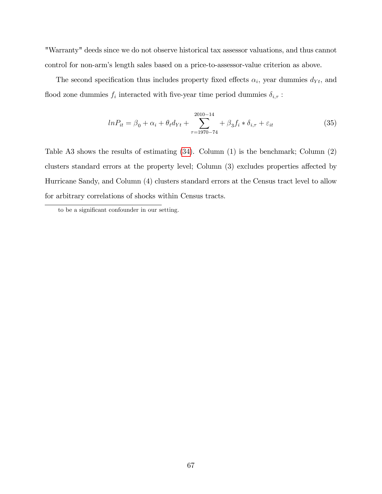"Warranty" deeds since we do not observe historical tax assessor valuations, and thus cannot control for non-armís length sales based on a price-to-assessor-value criterion as above.

The second specification thus includes property fixed effects  $\alpha_i$ , year dummies  $d_{Yt}$ , and flood zone dummies  $f_i$  interacted with five-year time period dummies  $\delta_{i,\tau}$ :

$$
ln P_{it} = \beta_0 + \alpha_i + \theta_t d_{Yt} + \sum_{\tau=1970-74}^{2010-14} \theta_i f_i * \delta_{i,\tau} + \varepsilon_{it}
$$
 (35)

Table A3 shows the results of estimating ([34](#page-64-0)). Column (1) is the benchmark; Column (2) clusters standard errors at the property level; Column  $(3)$  excludes properties affected by Hurricane Sandy, and Column (4) clusters standard errors at the Census tract level to allow for arbitrary correlations of shocks within Census tracts.

to be a significant confounder in our setting.